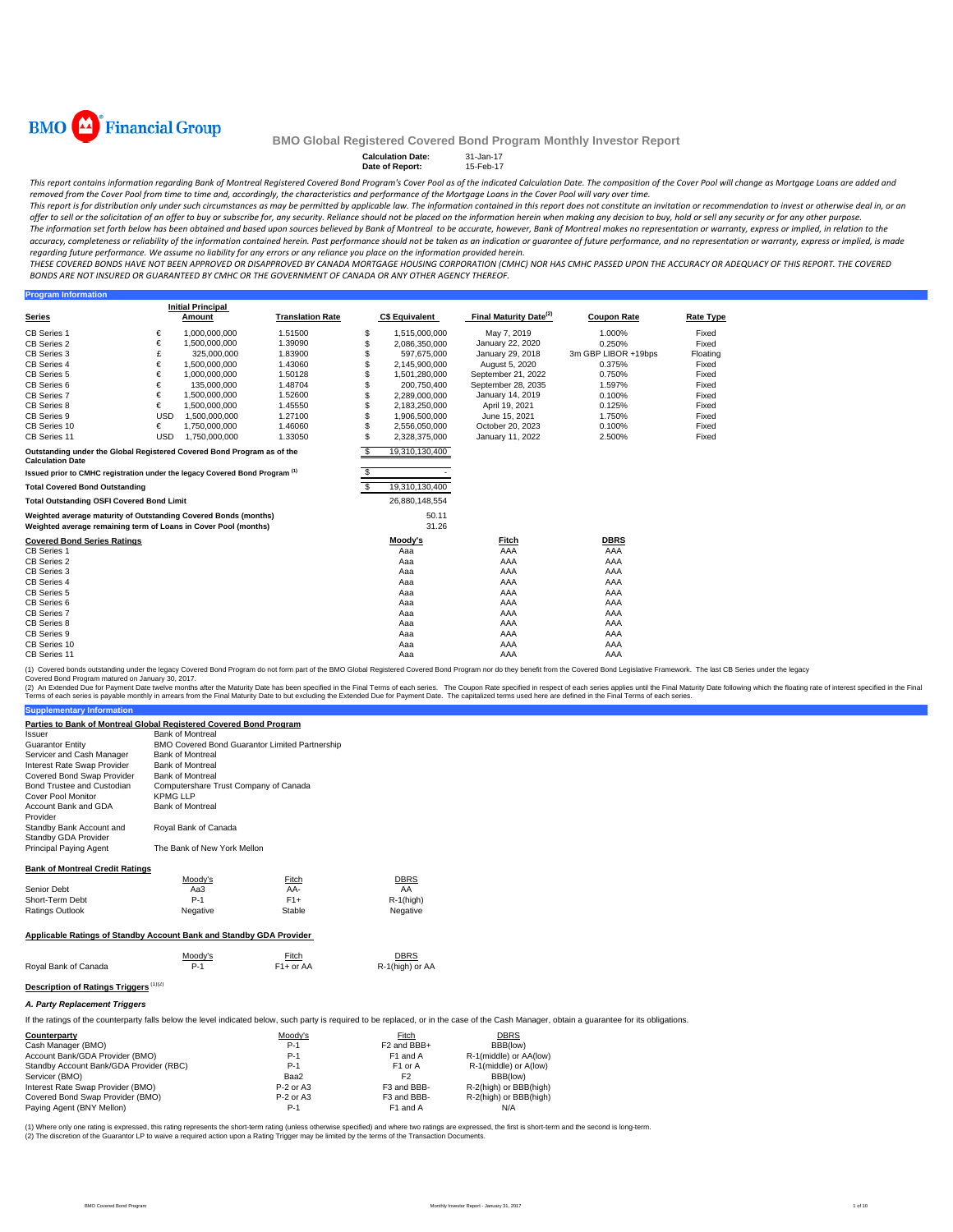

**Program Information** 

### **BMO Global Registered Covered Bond Program Monthly Investor Report**

**Calculation Date:** 31-Jan-17 **Date of Report:** 15-Feb-17

This report contains information regarding Bank of Montreal Registered Covered Bond Program's Cover Pool as of the indicated Calculation Date. The composition of the Cover Pool will change as Mortgage Loans are added and

removed from the Cover Pool from time to time and, accordingly, the characteristics and performance of the Mortgage Loans in the Cover Pool will vary over time.<br>This report is for distribution only under such circumstances offer to sell or the solicitation of an offer to buy or subscribe for, any security. Reliance should not be placed on the information herein when making any decision to buy, hold or sell any security or for any other purpo The information set forth below has been obtained and based upon sources believed by Bank of Montreal to be accurate, however, Bank of Montreal makes no representation or warranty, express or implied, in relation to the

accuracy, completeness or reliability of the information contained herein. Past performance should not be taken as an indication or guarantee of future performance, and no representation or warranty, express or implied, is regarding future performance. We assume no liability for any errors or any reliance you place on the information provided herein.

THESE COVERED BONDS HAVE NOT BEEN APPROVED OR DISAPPROVED BY CANADA MORTGAGE HOUSING CORPORATION (CMHC) NOR HAS CMHC PASSED UPON THE ACCURACY OR ADEQUACY OF THIS REPORT. THE COVERED BONDS ARE NOT INSURED OR GUARANTEED BY CMHC OR THE GOVERNMENT OF CANADA OR ANY OTHER AGENCY THEREOF.

|                                                                                                                                    |            | <b>Initial Principal</b> |                         |     |                       |                                    |                     |                  |
|------------------------------------------------------------------------------------------------------------------------------------|------------|--------------------------|-------------------------|-----|-----------------------|------------------------------------|---------------------|------------------|
| <b>Series</b>                                                                                                                      |            | Amount                   | <b>Translation Rate</b> |     | <b>C\$ Equivalent</b> | Final Maturity Date <sup>(2)</sup> | <b>Coupon Rate</b>  | <b>Rate Type</b> |
| <b>CB Series 1</b>                                                                                                                 | €          | 1,000,000,000            | 1.51500                 | \$  | 1,515,000,000         | May 7, 2019                        | 1.000%              | Fixed            |
| CB Series 2                                                                                                                        | €          | 1,500,000,000            | 1.39090                 |     | 2,086,350,000         | January 22, 2020                   | 0.250%              | Fixed            |
| CB Series 3                                                                                                                        |            | 325,000,000              | 1.83900                 |     | 597,675,000           | January 29, 2018                   | 3m GBP LIBOR +19bps | Floating         |
| CB Series 4                                                                                                                        | €          | 1,500,000,000            | 1.43060                 |     | 2,145,900,000         | August 5, 2020                     | 0.375%              | Fixed            |
| CB Series 5                                                                                                                        | €          | 1.000.000.000            | 1.50128                 |     | 1,501,280,000         | September 21, 2022                 | 0.750%              | Fixed            |
| CB Series 6                                                                                                                        | €          | 135,000,000              | 1.48704                 |     | 200,750,400           | September 28, 2035                 | 1.597%              | Fixed            |
| CB Series 7                                                                                                                        | €          | 1,500,000,000            | 1.52600                 |     | 2,289,000,000         | January 14, 2019                   | 0.100%              | Fixed            |
| CB Series 8                                                                                                                        | €          | 1,500,000,000            | 1.45550                 |     | 2,183,250,000         | April 19, 2021                     | 0.125%              | Fixed            |
| CB Series 9                                                                                                                        | <b>USD</b> | 1,500,000,000            | 1.27100                 |     | 1,906,500,000         | June 15, 2021                      | 1.750%              | Fixed            |
| CB Series 10                                                                                                                       | €          | 1.750.000.000            | 1.46060                 |     | 2,556,050,000         | October 20, 2023                   | 0.100%              | Fixed            |
| CB Series 11                                                                                                                       | <b>USD</b> | 1,750,000,000            | 1.33050                 |     | 2,328,375,000         | January 11, 2022                   | 2.500%              | Fixed            |
| Outstanding under the Global Registered Covered Bond Program as of the<br><b>Calculation Date</b>                                  |            |                          |                         | - 5 | 19,310,130,400        |                                    |                     |                  |
| Issued prior to CMHC registration under the legacy Covered Bond Program <sup>(1)</sup>                                             |            |                          |                         |     |                       |                                    |                     |                  |
| <b>Total Covered Bond Outstanding</b>                                                                                              |            |                          |                         |     | 19,310,130,400        |                                    |                     |                  |
| <b>Total Outstanding OSFI Covered Bond Limit</b>                                                                                   |            |                          |                         |     | 26,880,148,554        |                                    |                     |                  |
| Weighted average maturity of Outstanding Covered Bonds (months)<br>Weighted average remaining term of Loans in Cover Pool (months) |            |                          |                         |     | 50.11<br>31.26        |                                    |                     |                  |
| <b>Covered Bond Series Ratings</b>                                                                                                 |            |                          |                         |     | Moody's               | <b>Fitch</b>                       | <b>DBRS</b>         |                  |
| CB Series 1                                                                                                                        |            |                          |                         |     | Aaa                   | AAA                                | AAA                 |                  |
| CB Series 2                                                                                                                        |            |                          |                         |     | Aaa                   | AAA                                | AAA                 |                  |
| CB Series 3                                                                                                                        |            |                          |                         |     | Aaa                   | AAA                                | AAA                 |                  |
| CB Series 4                                                                                                                        |            |                          |                         |     | Aaa                   | AAA                                | AAA                 |                  |
| <b>CB Series 5</b>                                                                                                                 |            |                          |                         |     | Aaa                   | AAA                                | AAA                 |                  |
| CB Series 6                                                                                                                        |            |                          |                         |     | Aaa                   | AAA                                | AAA                 |                  |
| CB Series 7                                                                                                                        |            |                          |                         |     | Aaa                   | AAA                                | AAA                 |                  |
| CB Series 8                                                                                                                        |            |                          |                         |     | Aaa                   | AAA                                | AAA                 |                  |
| CB Series 9                                                                                                                        |            |                          |                         |     | Aaa                   | AAA                                | AAA                 |                  |
| CB Series 10                                                                                                                       |            |                          |                         |     | Aaa                   | AAA                                | AAA                 |                  |
| CB Series 11                                                                                                                       |            |                          |                         |     | Aaa                   | AAA                                | AAA                 |                  |

(1) Covered bonds outstanding under the legacy Covered Bond Program do not form part of the BMO Global Registered Covered Bond Program nor do they benefit from the Covered Bond Legislative Framework. The last CB Series und

Covered Bond Program matured on January 30, 2017.

(2) An Extended Due for Payment Date twelve months after the Maturity Date has been specified in the Final Terms of each series. The Coupon Rate specified in the Final Muturity Date to but excluding the Extended Due for Pa

| <b>Supplementary Information</b>                                                                                                              |                                                          |                                                       |                         |                |
|-----------------------------------------------------------------------------------------------------------------------------------------------|----------------------------------------------------------|-------------------------------------------------------|-------------------------|----------------|
| Parties to Bank of Montreal Global Registered Covered Bond Program                                                                            |                                                          |                                                       |                         |                |
| Issuer                                                                                                                                        | <b>Bank of Montreal</b>                                  |                                                       |                         |                |
| <b>Guarantor Entity</b>                                                                                                                       |                                                          | <b>BMO Covered Bond Guarantor Limited Partnership</b> |                         |                |
| Servicer and Cash Manager                                                                                                                     | <b>Bank of Montreal</b>                                  |                                                       |                         |                |
| Interest Rate Swap Provider                                                                                                                   | <b>Bank of Montreal</b>                                  |                                                       |                         |                |
| Covered Bond Swap Provider                                                                                                                    | <b>Bank of Montreal</b>                                  |                                                       |                         |                |
| Bond Trustee and Custodian<br>Cover Pool Monitor                                                                                              | Computershare Trust Company of Canada<br><b>KPMG LLP</b> |                                                       |                         |                |
| Account Bank and GDA<br>Provider                                                                                                              | <b>Bank of Montreal</b>                                  |                                                       |                         |                |
| Standby Bank Account and<br>Standby GDA Provider                                                                                              | Royal Bank of Canada                                     |                                                       |                         |                |
| <b>Principal Paying Agent</b>                                                                                                                 | The Bank of New York Mellon                              |                                                       |                         |                |
| <b>Bank of Montreal Credit Ratings</b>                                                                                                        |                                                          |                                                       |                         |                |
|                                                                                                                                               | Moody's                                                  | Fitch                                                 | <b>DBRS</b>             |                |
| Senior Debt                                                                                                                                   | Aa3                                                      | AA-                                                   | AA                      |                |
| Short-Term Debt                                                                                                                               | $P-1$                                                    | $F1+$                                                 | $R-1$ (high)            |                |
| <b>Ratings Outlook</b>                                                                                                                        | Negative                                                 | Stable                                                | Negative                |                |
| Applicable Ratings of Standby Account Bank and Standby GDA Provider                                                                           |                                                          |                                                       |                         |                |
|                                                                                                                                               | Moody's                                                  | Fitch                                                 | <b>DBRS</b>             |                |
| Roval Bank of Canada                                                                                                                          | $P-1$                                                    | $F1+$ or AA                                           | R-1(high) or AA         |                |
| Description of Ratings Triggers (1)(2)                                                                                                        |                                                          |                                                       |                         |                |
| A. Party Replacement Triggers                                                                                                                 |                                                          |                                                       |                         |                |
| If the ratings of the counterparty falls below the level indicated below, such party is required to be replaced, or in the case of the Cash N |                                                          |                                                       |                         |                |
| Counterparty                                                                                                                                  |                                                          | Moody's                                               | Fitch                   | <b>DBRS</b>    |
| Cash Manager (BMO)                                                                                                                            |                                                          | P-1                                                   | F <sub>2</sub> and BBB+ | BBB(loy        |
| Account Bank/GDA Provider (BMO)                                                                                                               |                                                          | $P-1$                                                 | F1 and A                | R-1(middle) or |

If the case of the Cash Manager, obtain a guarantee for its obligations.

| <u></u>                                 | 1.1000170   | .                       | ---                    |
|-----------------------------------------|-------------|-------------------------|------------------------|
| Cash Manager (BMO)                      | $P-1$       | F <sub>2</sub> and BBB+ | BBB(low)               |
| Account Bank/GDA Provider (BMO)         | $P-1$       | F <sub>1</sub> and A    | R-1(middle) or AA(low) |
| Standby Account Bank/GDA Provider (RBC) | $P-1$       | F <sub>1</sub> or A     | R-1(middle) or A(low)  |
| Servicer (BMO)                          | Baa2        |                         | BBB(low)               |
| Interest Rate Swap Provider (BMO)       | $P-2$ or A3 | F3 and BBB-             | R-2(high) or BBB(high) |
| Covered Bond Swap Provider (BMO)        | $P-2$ or A3 | F3 and BBB-             | R-2(high) or BBB(high) |
| Paying Agent (BNY Mellon)               | $P-1$       | F <sub>1</sub> and A    | N/A                    |
|                                         |             |                         |                        |

(1) Where only one rating is expressed, this rating represents the short-term rating (unless othevnise specified) and where two ratings are expressed, the first is short-term and the second is long-term.<br>(2) The discretion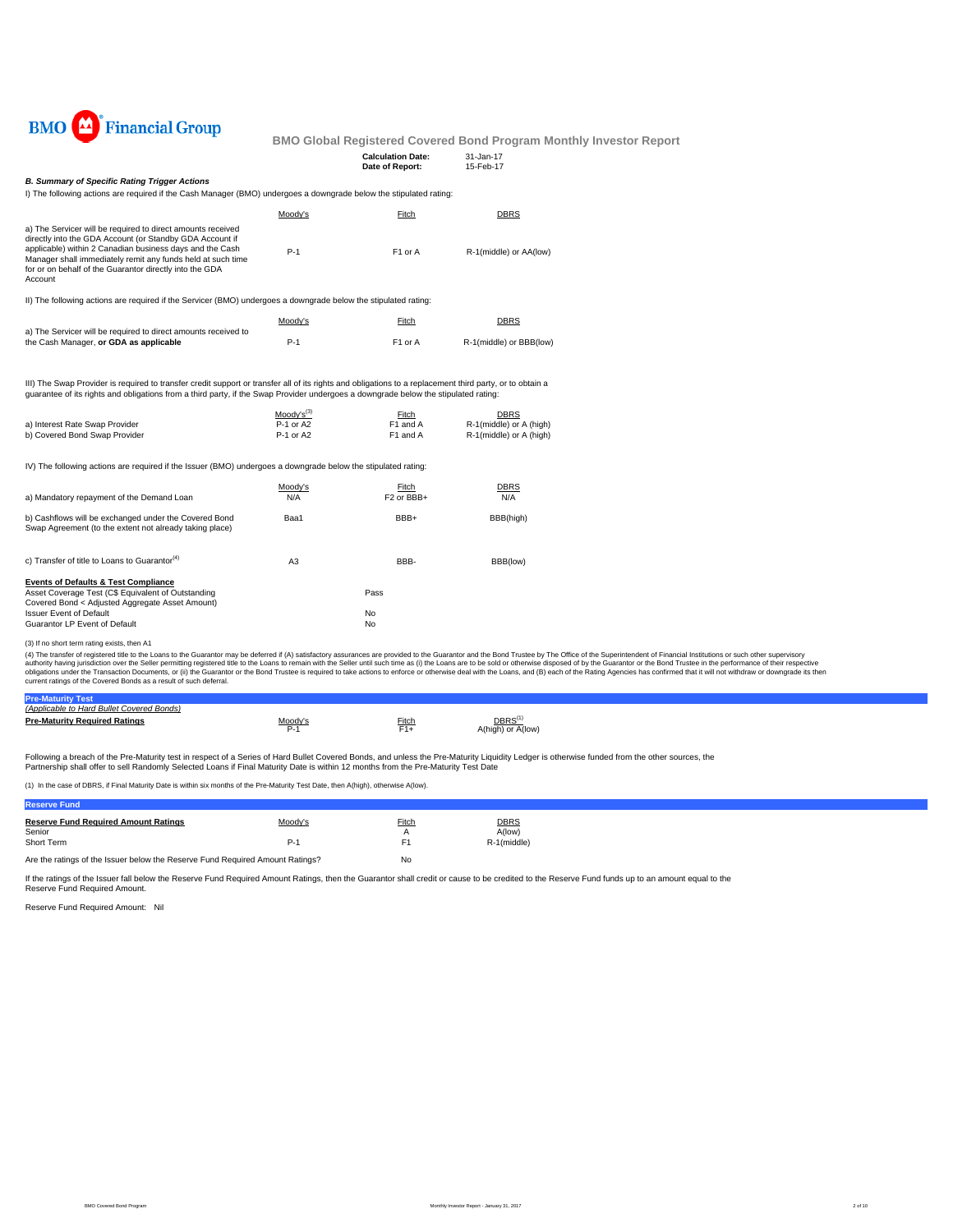

#### **Boothly Investor Report**

| <b>Financial Group</b><br><b>BMO</b>                                                                                                                                                                                                                                                                                     |                                                  | <b>BMO Global Registered Covered Bond Program M</b> |                                                                   |
|--------------------------------------------------------------------------------------------------------------------------------------------------------------------------------------------------------------------------------------------------------------------------------------------------------------------------|--------------------------------------------------|-----------------------------------------------------|-------------------------------------------------------------------|
|                                                                                                                                                                                                                                                                                                                          |                                                  | <b>Calculation Date:</b><br>Date of Report:         | 31-Jan-17<br>15-Feb-17                                            |
| <b>B. Summary of Specific Rating Trigger Actions</b><br>I) The following actions are required if the Cash Manager (BMO) undergoes a downgrade below the stipulated rating:                                                                                                                                               |                                                  |                                                     |                                                                   |
|                                                                                                                                                                                                                                                                                                                          | Moody's                                          | Fitch                                               | <b>DBRS</b>                                                       |
| a) The Servicer will be required to direct amounts received<br>directly into the GDA Account (or Standby GDA Account if<br>applicable) within 2 Canadian business days and the Cash<br>Manager shall immediately remit any funds held at such time<br>for or on behalf of the Guarantor directly into the GDA<br>Account | $P-1$                                            | F1 or A                                             | R-1(middle) or AA(low)                                            |
| II) The following actions are required if the Servicer (BMO) undergoes a downgrade below the stipulated rating:                                                                                                                                                                                                          |                                                  |                                                     |                                                                   |
|                                                                                                                                                                                                                                                                                                                          | Moody's                                          | Fitch                                               | <b>DBRS</b>                                                       |
| a) The Servicer will be required to direct amounts received to<br>the Cash Manager, or GDA as applicable                                                                                                                                                                                                                 | $P-1$                                            | F1 or A                                             | R-1(middle) or BBB(low)                                           |
| III) The Swap Provider is required to transfer credit support or transfer all of its rights and obligations to a replacement third party, or to obtain a<br>quarantee of its rights and obligations from a third party, if the Swap Provider undergoes a downgrade below the stipulated rating:                          |                                                  |                                                     |                                                                   |
| a) Interest Rate Swap Provider<br>b) Covered Bond Swap Provider                                                                                                                                                                                                                                                          | Moody's <sup>(3)</sup><br>P-1 or A2<br>P-1 or A2 | Fitch<br>F1 and A<br>F1 and A                       | <b>DBRS</b><br>R-1(middle) or A (high)<br>R-1(middle) or A (high) |
| IV) The following actions are required if the Issuer (BMO) undergoes a downgrade below the stipulated rating:                                                                                                                                                                                                            |                                                  |                                                     |                                                                   |
| a) Mandatory repayment of the Demand Loan                                                                                                                                                                                                                                                                                | Moody's<br>N/A                                   | Fitch<br>F2 or BBB+                                 | <b>DBRS</b><br>N/A                                                |
|                                                                                                                                                                                                                                                                                                                          |                                                  |                                                     |                                                                   |

| b) Cashflows will be exchanged under the Covered Bond<br>Swap Agreement (to the extent not already taking place) | Baa1           | BBB+ | BBB(high) |
|------------------------------------------------------------------------------------------------------------------|----------------|------|-----------|
| c) Transfer of title to Loans to Guarantor <sup>(4)</sup>                                                        | A <sub>3</sub> | BBB- | BBB(low)  |
| <b>Events of Defaults &amp; Test Compliance</b>                                                                  |                |      |           |
| Asset Coverage Test (C\$ Equivalent of Outstanding                                                               |                | Pass |           |
| Covered Bond < Adjusted Aggregate Asset Amount)                                                                  |                |      |           |
| <b>Issuer Event of Default</b>                                                                                   |                | No   |           |
| Guarantor LP Event of Default                                                                                    |                | No   |           |
|                                                                                                                  |                |      |           |

(3) If no short term rating exists, then A1<br>(4) The transfer of registered tille to the Loans to the Guarantor may be deferred if (A) satisfactory assurances are provided to the Guarantor and the Bond Trustee by The Office

| <b>Pre-Maturity Test</b>                  |         |       |                                        |
|-------------------------------------------|---------|-------|----------------------------------------|
| (Applicable to Hard Bullet Covered Bonds) |         |       |                                        |
| <b>Pre-Maturity Required Ratings</b>      | Moody's | Fitch | DBRS <sup>(</sup><br>A(high) or A(low) |

Following a breach of the Pre-Maturity test in respect of a Series of Hard Bullet Covered Bonds, and unless the Pre-Maturity Liquidity Ledger is otherwise funded from the other sources, the Partnership shall offer to sell Randomly Selected Loans if Final Maturity Date is within 12 months from the Pre-Maturity Test Date

(1) In the case of DBRS, if Final Maturity Date is within six months of the Pre-Maturity Test Date, then A(high), otherwise A(low).

| <b>Reserve Fund</b>                                                           |         |                |             |  |
|-------------------------------------------------------------------------------|---------|----------------|-------------|--|
| <b>Reserve Fund Required Amount Ratings</b>                                   | Moody's | <b>Fitch</b>   | <b>DBRS</b> |  |
| Senior                                                                        |         | $\overline{A}$ | A(low)      |  |
| Short Term                                                                    | P-1     | F٬             | R-1(middle) |  |
| Are the ratings of the Issuer below the Reserve Fund Required Amount Ratings? |         | No             |             |  |

If the ratings of the Issuer fall below the Reserve Fund Required Amount Ratings, then the Guarantor shall credit or cause to be credited to the Reserve Fund funds up to an amount equal to the Reserve Fund Required Amount.

Reserve Fund Required Amount: Nil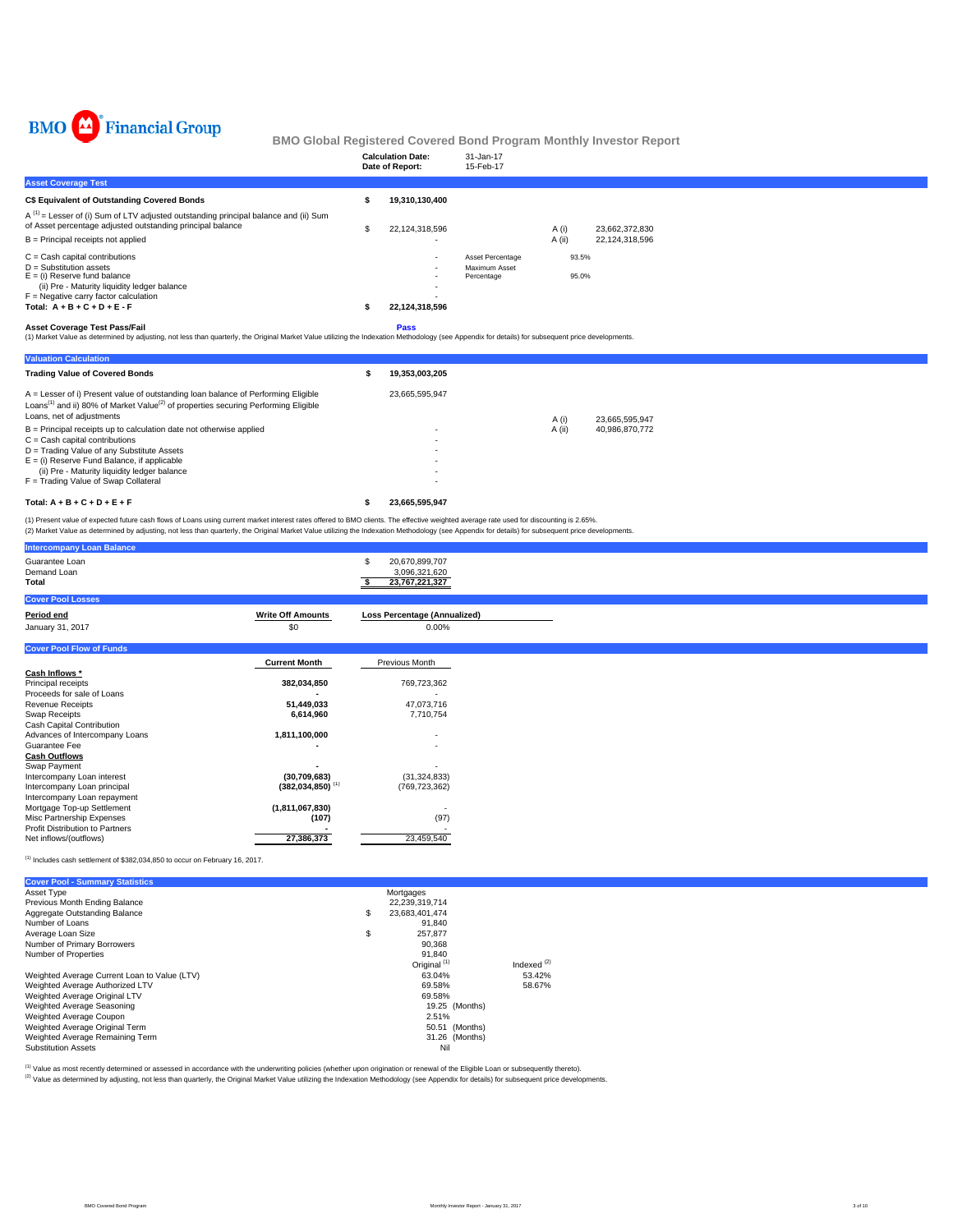

|                                                                                                                                                                                                | <b>Calculation Date:</b><br>Date of Report: | 31-Jan-17<br>15-Feb-17            |                 |                                  |
|------------------------------------------------------------------------------------------------------------------------------------------------------------------------------------------------|---------------------------------------------|-----------------------------------|-----------------|----------------------------------|
| <b>Asset Coverage Test</b>                                                                                                                                                                     |                                             |                                   |                 |                                  |
| C\$ Equivalent of Outstanding Covered Bonds                                                                                                                                                    | 19,310,130,400                              |                                   |                 |                                  |
| $A^{(1)}$ = Lesser of (i) Sum of LTV adjusted outstanding principal balance and (ii) Sum<br>of Asset percentage adjusted outstanding principal balance<br>$B =$ Principal receipts not applied | 22,124,318,596                              |                                   | A (i)<br>A (ii) | 23,662,372,830<br>22,124,318,596 |
| $C =$ Cash capital contributions<br>$D =$ Substitution assets                                                                                                                                  | <b>COL</b>                                  | Asset Percentage<br>Maximum Asset | 93.5%           |                                  |
| $E =$ (i) Reserve fund balance<br>(ii) Pre - Maturity liquidity ledger balance<br>$F =$ Negative carry factor calculation                                                                      |                                             | Percentage                        | 95.0%           |                                  |
| Total: $A + B + C + D + E - F$                                                                                                                                                                 | 22,124,318,596                              |                                   |                 |                                  |
| $A - 1$ $A - 1$ $A - 1$ $A - 1$ $A - 1$ $A - 1$ $A - 1$ $A - 1$ $A - 1$ $A - 1$                                                                                                                | $P = 1$                                     |                                   |                 |                                  |

**Asset Coverage Test Pass/Fail**<br>(1) Market Value as determined by adjusting, not less than quarterly, the Original Market Value utilizing the Indexation Methodology (see Appendix for details) for subsequent price developme

| <b>Valuation Calculation</b>                                                                                                                                                                                                                                                                     |                |        |                |  |
|--------------------------------------------------------------------------------------------------------------------------------------------------------------------------------------------------------------------------------------------------------------------------------------------------|----------------|--------|----------------|--|
| <b>Trading Value of Covered Bonds</b>                                                                                                                                                                                                                                                            | 19,353,003,205 |        |                |  |
| A = Lesser of i) Present value of outstanding loan balance of Performing Eligible<br>Loans <sup>(1)</sup> and ii) 80% of Market Value <sup>(2)</sup> of properties securing Performing Eligible<br>Loans, net of adjustments                                                                     | 23.665.595.947 | A (i)  | 23.665.595.947 |  |
| $B =$ Principal receipts up to calculation date not otherwise applied<br>$C =$ Cash capital contributions<br>D = Trading Value of any Substitute Assets<br>$E =$ (i) Reserve Fund Balance, if applicable<br>(ii) Pre - Maturity liquidity ledger balance<br>F = Trading Value of Swap Collateral | ۰<br>۰<br>۰    | A (ii) | 40,986,870,772 |  |
| Total: $A + B + C + D + E + F$                                                                                                                                                                                                                                                                   | 23.665.595.947 |        |                |  |

(1) Present value of expected future cash flows of Loans using current market interest rates offered to BMO clients. The effective weighted average rate used for discounting is 2.65%.<br>(2) Market Value as determined by adju

|             | 20,670,899,707<br>\$                                                                                                                                                     |                                                                                                                                            |
|-------------|--------------------------------------------------------------------------------------------------------------------------------------------------------------------------|--------------------------------------------------------------------------------------------------------------------------------------------|
|             | 23,767,221,327                                                                                                                                                           |                                                                                                                                            |
|             |                                                                                                                                                                          |                                                                                                                                            |
|             |                                                                                                                                                                          |                                                                                                                                            |
|             |                                                                                                                                                                          |                                                                                                                                            |
|             |                                                                                                                                                                          |                                                                                                                                            |
|             |                                                                                                                                                                          |                                                                                                                                            |
|             |                                                                                                                                                                          |                                                                                                                                            |
|             |                                                                                                                                                                          |                                                                                                                                            |
| 382,034,850 | 769,723,362                                                                                                                                                              |                                                                                                                                            |
|             |                                                                                                                                                                          |                                                                                                                                            |
| 51,449,033  | 47,073,716                                                                                                                                                               |                                                                                                                                            |
| 6,614,960   | 7,710,754                                                                                                                                                                |                                                                                                                                            |
|             |                                                                                                                                                                          |                                                                                                                                            |
|             |                                                                                                                                                                          |                                                                                                                                            |
|             |                                                                                                                                                                          |                                                                                                                                            |
|             |                                                                                                                                                                          |                                                                                                                                            |
|             |                                                                                                                                                                          |                                                                                                                                            |
|             |                                                                                                                                                                          |                                                                                                                                            |
|             |                                                                                                                                                                          |                                                                                                                                            |
|             |                                                                                                                                                                          |                                                                                                                                            |
|             |                                                                                                                                                                          |                                                                                                                                            |
|             |                                                                                                                                                                          |                                                                                                                                            |
|             |                                                                                                                                                                          |                                                                                                                                            |
|             | <b>Write Off Amounts</b><br>\$0<br><b>Current Month</b><br>1,811,100,000<br>(30, 709, 683)<br>$(382, 034, 850)$ <sup>(1)</sup><br>(1,811,067,830)<br>(107)<br>27,386,373 | 3,096,321,620<br><b>Loss Percentage (Annualized)</b><br>0.00%<br>Previous Month<br>(31, 324, 833)<br>(769, 723, 362)<br>(97)<br>23,459,540 |

 $(1)$  Includes cash settlement of \$382,034,850 to occur on February 16, 2017.

| <b>Cover Pool - Summary Statistics</b>       |                         |               |
|----------------------------------------------|-------------------------|---------------|
| Asset Type                                   | Mortgages               |               |
| Previous Month Ending Balance                | 22,239,319,714          |               |
| Aggregate Outstanding Balance                | \$<br>23,683,401,474    |               |
| Number of Loans                              | 91.840                  |               |
| Average Loan Size                            | \$<br>257.877           |               |
| Number of Primary Borrowers                  | 90.368                  |               |
| Number of Properties                         | 91.840                  |               |
|                                              | Original <sup>(1)</sup> | Indexed $(2)$ |
| Weighted Average Current Loan to Value (LTV) | 63.04%                  | 53.42%        |
| Weighted Average Authorized LTV              | 69.58%                  | 58.67%        |
| Weighted Average Original LTV                | 69.58%                  |               |
| Weighted Average Seasoning                   | 19.25 (Months)          |               |
| Weighted Average Coupon                      | 2.51%                   |               |
| Weighted Average Original Term               | 50.51 (Months)          |               |
| Weighted Average Remaining Term              | 31.26 (Months)          |               |
| <b>Substitution Assets</b>                   | Nil                     |               |

<sup>(1)</sup> Value as most recently determined or assessed in accordance with the underwriting policies (whether upon origination or renewal of the Eligible Loan or subsequently thereto).<br><sup>(2)</sup> Value as determined by adjusting, n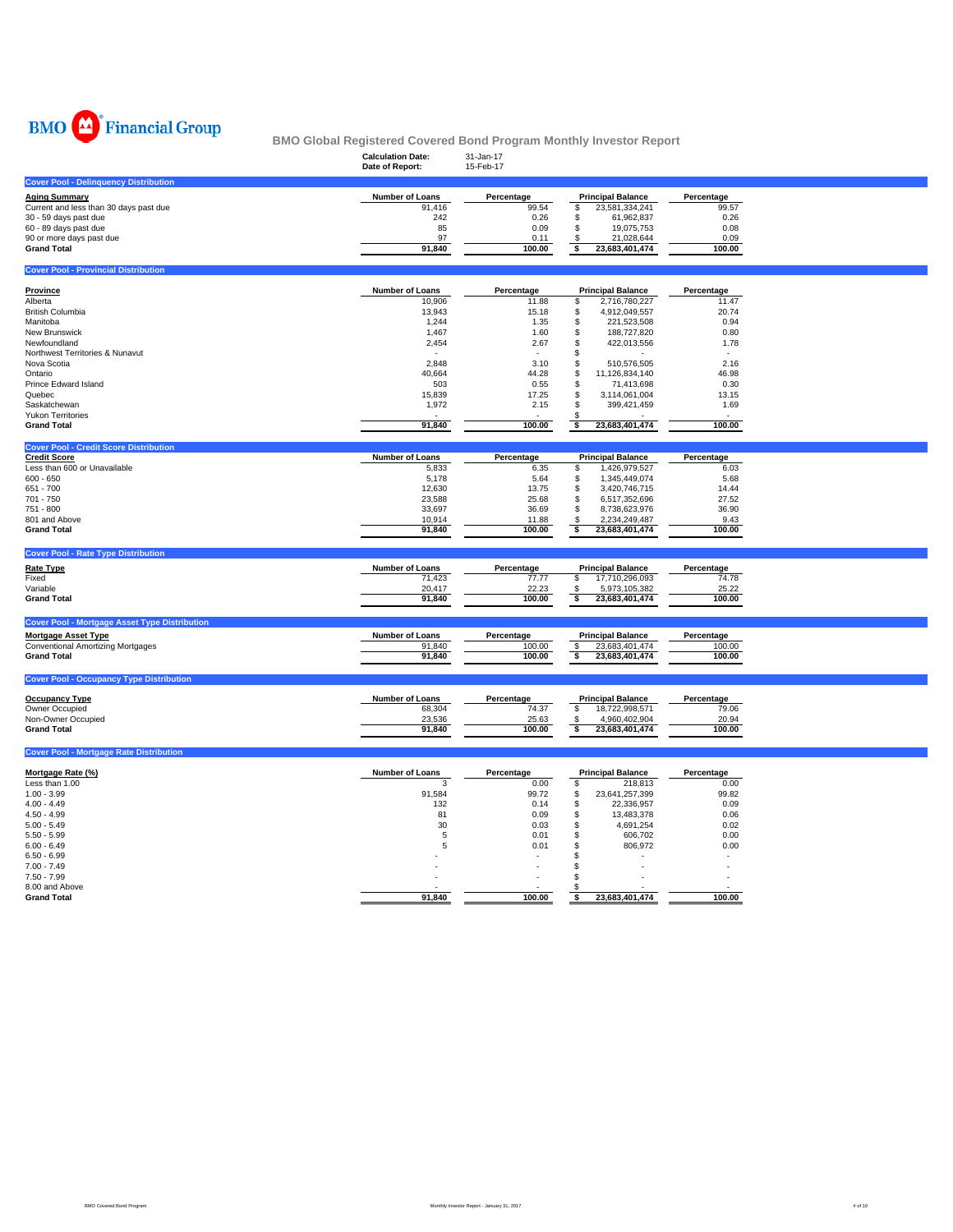

|                                              | <b>Calculation Date:</b><br>Date of Report: | 31-Jan-17<br>15-Feb-17 |                          |            |
|----------------------------------------------|---------------------------------------------|------------------------|--------------------------|------------|
| <b>Cover Pool - Delinguency Distribution</b> |                                             |                        |                          |            |
| <b>Aging Summary</b>                         | <b>Number of Loans</b>                      | Percentage             | <b>Principal Balance</b> | Percentage |
| Current and less than 30 days past due       | 91,416                                      | 99.54                  | 23,581,334,241           | 99.57      |
| 30 - 59 days past due                        | 242                                         | 0.26                   | 61.962.837               | 0.26       |
| 60 - 89 days past due                        | 85                                          | 0.09                   | 19.075.753               | 0.08       |
| 90 or more days past due                     | 97                                          | 0.11                   | 21.028.644               | 0.09       |
| <b>Grand Total</b>                           | 91,840                                      | 100.00                 | 23,683,401,474           | 100.00     |
|                                              |                                             |                        |                          |            |

| <b>Cover Pool - Provincial Distribution</b> |                        |                          |      |                          |            |
|---------------------------------------------|------------------------|--------------------------|------|--------------------------|------------|
| Province                                    | <b>Number of Loans</b> | Percentage               |      | <b>Principal Balance</b> | Percentage |
| Alberta                                     | 10,906                 | 11.88                    | ж    | 2,716,780,227            | 11.47      |
| <b>British Columbia</b>                     | 13,943                 | 15.18                    | - 35 | 4.912.049.557            | 20.74      |
| Manitoba                                    | 1,244                  | 1.35                     | - 35 | 221,523,508              | 0.94       |
| New Brunswick                               | 1.467                  | 1.60                     | \$   | 188,727,820              | 0.80       |
| Newfoundland                                | 2,454                  | 2.67                     | \$.  | 422.013.556              | 1.78       |
| Northwest Territories & Nunavut             |                        | $\sim$                   |      |                          | ж.         |
| Nova Scotia                                 | 2,848                  | 3.10                     |      | 510.576.505              | 2.16       |
| Ontario                                     | 40.664                 | 44.28                    | \$   | 11.126.834.140           | 46.98      |
| Prince Edward Island                        | 503                    | 0.55                     | Эħ   | 71.413.698               | 0.30       |
| Quebec                                      | 15,839                 | 17.25                    | - 55 | 3.114.061.004            | 13.15      |
| Saskatchewan                                | 1,972                  | 2.15                     |      | 399.421.459              | 1.69       |
| <b>Yukon Territories</b>                    |                        | $\overline{\phantom{a}}$ |      |                          | ۰.         |
| <b>Grand Total</b>                          | 91,840                 | 100.00                   |      | 23,683,401,474           | 100.00     |

| <b>Cover Pool - Credit Score Distribution</b> |                        |            |                          |            |
|-----------------------------------------------|------------------------|------------|--------------------------|------------|
| <b>Credit Score</b>                           | <b>Number of Loans</b> | Percentage | <b>Principal Balance</b> | Percentage |
| Less than 600 or Unavailable                  | 5,833                  | 6.35       | .426.979.527             | 6.03       |
| $600 - 650$                                   | 5.178                  | 5.64       | 1.345.449.074            | 5.68       |
| 651 - 700                                     | 12.630                 | 13.75      | 3.420.746.715            | 14.44      |
| 701 - 750                                     | 23.588                 | 25.68      | 6.517.352.696            | 27.52      |
| 751 - 800                                     | 33.697                 | 36.69      | 8.738.623.976            | 36.90      |
| 801 and Above                                 | 10.914                 | 11.88      | 2.234.249.487            | 9.43       |
| <b>Grand Total</b>                            | 91.840                 | 100.00     | 23.683.401.474           | 100.00     |
|                                               |                        |            |                          |            |

| <b>Cover Pool - Rate Type Distribution</b> |                        |            |                          |            |
|--------------------------------------------|------------------------|------------|--------------------------|------------|
| <b>Rate Type</b>                           | <b>Number of Loans</b> | Percentage | <b>Principal Balance</b> | Percentage |
| Fixed                                      | 71.423                 | 77.77      | 17.710.296.093           | 74.78      |
| Variable                                   | 20.417                 | 22.23      | 5,973,105,382            | 25.22      |
| <b>Grand Total</b>                         | 91.840                 | 100.00     | 23.683.401.474           | 100.00     |
|                                            |                        |            |                          |            |

| <b>Mortgage Asset Type</b>        | Number of Loans | Percentage | <b>Principal Balance</b> | Percentage |
|-----------------------------------|-----------------|------------|--------------------------|------------|
| Conventional Amortizing Mortgages | 91.840          | 100.00     | 23.683.401.474           | 100.00     |
| <b>Grand Total</b>                | 91.840          | 100.00     | 23.683.401.474           | 100.00     |
|                                   |                 |            |                          |            |

| <b>Cover Pool - Occupancy Type Distribution</b> |                 |            |                          |            |
|-------------------------------------------------|-----------------|------------|--------------------------|------------|
| <b>Occupancy Type</b>                           | Number of Loans | Percentage | <b>Principal Balance</b> | Percentage |
| Owner Occupied                                  | 68,304          | 74.37      | 18.722.998.571           | 79.06      |
| Non-Owner Occupied                              | 23.536          | 25.63      | 4.960.402.904            | 20.94      |
| <b>Grand Total</b>                              | 91.840          | 100.00     | 23.683.401.474           | 100.00     |

### **Cover Pool - Mortgage Rate Distribution**

| Mortgage Rate (%)  | <b>Number of Loans</b> | Percentage |     | <b>Principal Balance</b> | Percentage |
|--------------------|------------------------|------------|-----|--------------------------|------------|
| Less than 1.00     |                        | 0.00       |     | 218.813                  | 0.00       |
| $1.00 - 3.99$      | 91,584                 | 99.72      | \$  | 23,641,257,399           | 99.82      |
| $4.00 - 4.49$      | 132                    | 0.14       | - D | 22,336,957               | 0.09       |
| $4.50 - 4.99$      | 81                     | 0.09       |     | 13.483.378               | 0.06       |
| $5.00 - 5.49$      | 30                     | 0.03       |     | 4,691,254                | 0.02       |
| $5.50 - 5.99$      |                        | 0.01       |     | 606.702                  | 0.00       |
| $6.00 - 6.49$      |                        | 0.01       |     | 806,972                  | 0.00       |
| $6.50 - 6.99$      |                        |            |     |                          |            |
| $7.00 - 7.49$      |                        |            |     |                          |            |
| $7.50 - 7.99$      |                        | ٠          |     |                          |            |
| 8.00 and Above     |                        |            |     |                          |            |
| <b>Grand Total</b> | 91.840                 | 100.00     |     | 23,683,401,474           | 100.00     |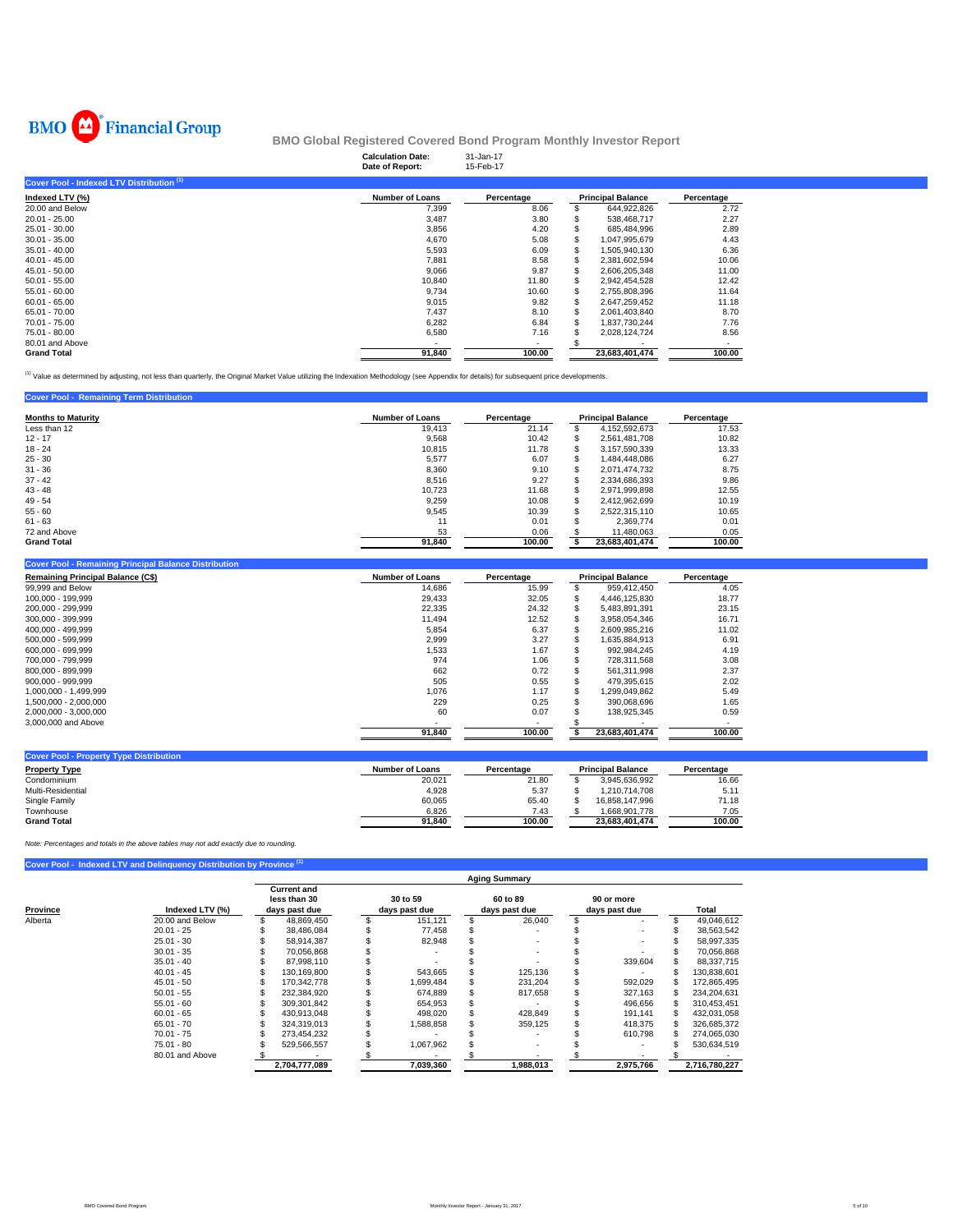

|                                           | <b>Calculation Date:</b><br>Date of Report: | 31-Jan-17<br>15-Feb-17 |                          |            |
|-------------------------------------------|---------------------------------------------|------------------------|--------------------------|------------|
| Cover Pool - Indexed LTV Distribution (1) |                                             |                        |                          |            |
| Indexed LTV (%)                           | <b>Number of Loans</b>                      | Percentage             | <b>Principal Balance</b> | Percentage |
| 20.00 and Below                           | 7,399                                       | 8.06                   | 644,922,826              | 2.72       |
| $20.01 - 25.00$                           | 3,487                                       | 3.80                   | 538,468,717              | 2.27       |
| $25.01 - 30.00$                           | 3,856                                       | 4.20                   | 685,484,996              | 2.89       |
| $30.01 - 35.00$                           | 4,670                                       | 5.08                   | 1,047,995,679            | 4.43       |
| $35.01 - 40.00$                           | 5,593                                       | 6.09                   | 1,505,940,130            | 6.36       |
| $40.01 - 45.00$                           | 7,881                                       | 8.58                   | 2,381,602,594            | 10.06      |
| $45.01 - 50.00$                           | 9,066                                       | 9.87                   | 2,606,205,348            | 11.00      |
| $50.01 - 55.00$                           | 10.840                                      | 11.80                  | 2,942,454,528            | 12.42      |
| $55.01 - 60.00$                           | 9,734                                       | 10.60                  | 2,755,808,396            | 11.64      |
| $60.01 - 65.00$                           | 9,015                                       | 9.82                   | 2.647.259.452            | 11.18      |
| 65.01 - 70.00                             | 7.437                                       | 8.10                   | 2,061,403,840            | 8.70       |
| 70.01 - 75.00                             | 6,282                                       | 6.84                   | 1.837.730.244            | 7.76       |
| 75.01 - 80.00                             | 6,580                                       | 7.16                   | 2.028.124.724            | 8.56       |
| 80.01 and Above                           |                                             | ٠                      |                          | ۰.         |
| <b>Grand Total</b>                        | 91,840                                      | 100.00                 | 23,683,401,474           | 100.00     |

(1) Value as determined by adjusting, not less than quarterly, the Original Market Value utilizing the Indexation Methodology (see Appendix for details) for subsequent price developments.

| <b>Cover Pool - Remaining Term Distribution</b> |                        |            |    |                          |            |
|-------------------------------------------------|------------------------|------------|----|--------------------------|------------|
| <b>Months to Maturity</b>                       | <b>Number of Loans</b> | Percentage |    | <b>Principal Balance</b> | Percentage |
| Less than 12                                    | 19.413                 | 21.14      | ж  | 4,152,592,673            | 17.53      |
| $12 - 17$                                       | 9.568                  | 10.42      | \$ | 2.561.481.708            | 10.82      |
| $18 - 24$                                       | 10.815                 | 11.78      | \$ | 3.157.590.339            | 13.33      |
| $25 - 30$                                       | 5,577                  | 6.07       |    | 1.484.448.086            | 6.27       |
| $31 - 36$                                       | 8,360                  | 9.10       | \$ | 2.071.474.732            | 8.75       |
| $37 - 42$                                       | 8,516                  | 9.27       |    | 2,334,686,393            | 9.86       |
| $43 - 48$                                       | 10.723                 | 11.68      | \$ | 2.971.999.898            | 12.55      |
| $49 - 54$                                       | 9.259                  | 10.08      |    | 2.412.962.699            | 10.19      |
| $55 - 60$                                       | 9,545                  | 10.39      | \$ | 2.522.315.110            | 10.65      |
| $61 - 63$                                       | 11                     | 0.01       | ፍ  | 2.369.774                | 0.01       |
| 72 and Above                                    | 53                     | 0.06       |    | 11.480.063               | 0.05       |
| <b>Grand Total</b>                              | 91.840                 | 100.00     |    | 23.683.401.474           | 100.00     |

| <b>Cover Pool - Remaining Principal Balance Distribution</b> |                        |            |                          |            |
|--------------------------------------------------------------|------------------------|------------|--------------------------|------------|
| <b>Remaining Principal Balance (C\$)</b>                     | <b>Number of Loans</b> | Percentage | <b>Principal Balance</b> | Percentage |
| 99,999 and Below                                             | 14.686                 | 15.99      | 959.412.450              | 4.05       |
| 100.000 - 199.999                                            | 29.433                 | 32.05      | 4.446.125.830            | 18.77      |
| 200.000 - 299.999                                            | 22.335                 | 24.32      | 5.483.891.391            | 23.15      |
| 300.000 - 399.999                                            | 11.494                 | 12.52      | 3.958.054.346            | 16.71      |
| 400.000 - 499.999                                            | 5.854                  | 6.37       | 2.609.985.216            | 11.02      |
| 500.000 - 599.999                                            | 2,999                  | 3.27       | 1.635.884.913            | 6.91       |
| 600.000 - 699.999                                            | 1.533                  | 1.67       | 992.984.245              | 4.19       |
| 700.000 - 799.999                                            | 974                    | 1.06       | 728.311.568              | 3.08       |
| 800.000 - 899.999                                            | 662                    | 0.72       | 561.311.998              | 2.37       |
| 900.000 - 999.999                                            | 505                    | 0.55       | 479.395.615              | 2.02       |
| 1.000.000 - 1.499.999                                        | 1,076                  | 1.17       | 1.299.049.862            | 5.49       |
| 1.500.000 - 2.000.000                                        | 229                    | 0.25       | 390.068.696              | 1.65       |
| 2,000,000 - 3,000,000                                        | 60                     | 0.07       | 138.925.345              | 0.59       |
| 3,000,000 and Above                                          |                        |            |                          |            |
|                                                              | 91.840                 | 100.00     | 23.683.401.474           | 100.00     |

| <b>Cover Pool - Property Type Distribution</b> |                        |            |                          |            |
|------------------------------------------------|------------------------|------------|--------------------------|------------|
| <b>Property Type</b>                           | <b>Number of Loans</b> | Percentage | <b>Principal Balance</b> | Percentage |
| Condominium                                    | 20.021                 | 21.80      | 3.945.636.992            | 16.66      |
| Multi-Residential                              | 4.928                  | 5.37       | 1.210.714.708            | 5.11       |
| Single Family                                  | 60.065                 | 65.40      | 16.858.147.996           | 71.18      |
| Townhouse                                      | 6.826                  | 7.43       | 1.668.901.778            | 7.05       |
| <b>Grand Total</b>                             | 91.840                 | 100.00     | 23.683.401.474           | 100.00     |

*Note: Percentages and totals in the above tables may not add exactly due to rounding.*

**Cover Pool - Indexed LTV and Delinquency Distribution by Province (1)**

|          |                 |                                                     |                           | <b>Aging Summary</b>      |                             |               |
|----------|-----------------|-----------------------------------------------------|---------------------------|---------------------------|-----------------------------|---------------|
| Province | Indexed LTV (%) | <b>Current and</b><br>less than 30<br>days past due | 30 to 59<br>days past due | 60 to 89<br>days past due | 90 or more<br>days past due | Total         |
| Alberta  | 20.00 and Below | 48.869.450                                          | 151.121                   | 26.040                    |                             | 49.046.612    |
|          | $20.01 - 25$    | 38.486.084                                          | 77.458                    |                           |                             | 38.563.542    |
|          | $25.01 - 30$    | 58.914.387                                          | 82.948                    |                           |                             | 58,997,335    |
|          | $30.01 - 35$    | 70.056.868                                          |                           |                           |                             | 70,056,868    |
|          | $35.01 - 40$    | 87.998.110                                          |                           |                           | 339,604                     | 88,337,715    |
|          | $40.01 - 45$    | 130.169.800                                         | 543.665                   | 125.136                   |                             | 130.838.601   |
|          | $45.01 - 50$    | 170.342.778                                         | 84.699, ا                 | 231.204                   | 592,029                     | 172,865,495   |
|          | $50.01 - 55$    | 232,384,920                                         | 674,889                   | 817,658                   | 327,163                     | 234,204,631   |
|          | $55.01 - 60$    | 309.301.842                                         | 654.953                   |                           | 496.656                     | 310.453.451   |
|          | $60.01 - 65$    | 430.913.048                                         | 498.020                   | 428.849                   | 191.141                     | 432.031.058   |
|          | $65.01 - 70$    | 324.319.013                                         | 1,588,858                 | 359.125                   | 418,375                     | 326,685,372   |
|          | $70.01 - 75$    | 273.454.232                                         |                           |                           | 610.798                     | 274,065,030   |
|          | $75.01 - 80$    | 529,566,557                                         | 1,067,962                 |                           |                             | 530,634,519   |
|          | 80.01 and Above |                                                     |                           |                           |                             |               |
|          |                 | 2,704,777,089                                       | 7,039,360                 | 1,988,013                 | 2,975,766                   | 2,716,780,227 |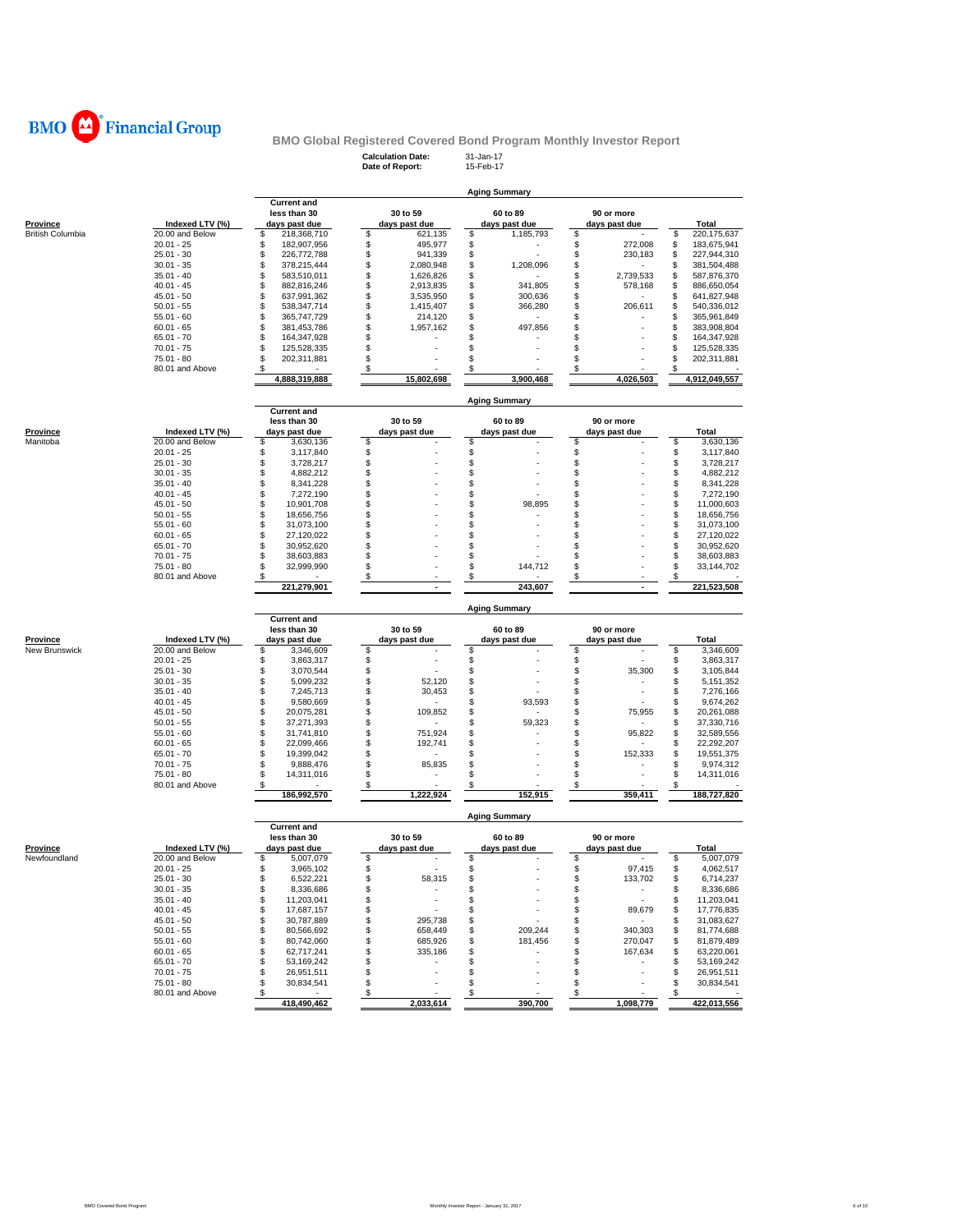

### **Calculation Date:** 31-Jan-17 **BMO Global Registered Covered Bond Program Monthly Investor Report**

|                         |                 |                                    | Date of Report: | 15-Feb-17            |                 |                         |
|-------------------------|-----------------|------------------------------------|-----------------|----------------------|-----------------|-------------------------|
|                         |                 |                                    |                 | <b>Aging Summary</b> |                 |                         |
|                         |                 | <b>Current and</b><br>less than 30 | 30 to 59        | 60 to 89             | 90 or more      |                         |
| <b>Province</b>         | Indexed LTV (%) | days past due                      | days past due   | days past due        | days past due   | Total                   |
| <b>British Columbia</b> | 20.00 and Below | \$<br>218,368,710                  | \$<br>621,135   | \$<br>1,185,793      | \$              | \$<br>220, 175, 637     |
|                         | $20.01 - 25$    | 182,907,956<br>\$                  | \$<br>495,977   | \$                   | \$<br>272,008   | \$<br>183,675,941       |
|                         | $25.01 - 30$    | \$<br>226,772,788                  | \$<br>941,339   | \$                   | \$<br>230,183   | \$<br>227,944,310       |
|                         | $30.01 - 35$    | \$<br>378,215,444                  | \$<br>2,080,948 | \$<br>1,208,096      | \$              | \$<br>381,504,488       |
|                         | $35.01 - 40$    | \$<br>583,510,011                  | \$<br>1,626,826 | \$                   | \$<br>2,739,533 | \$<br>587,876,370       |
|                         | $40.01 - 45$    | \$<br>882,816,246                  | \$<br>2,913,835 | \$<br>341,805        | \$<br>578,168   | \$<br>886,650,054       |
|                         | $45.01 - 50$    | \$<br>637,991,362                  | \$<br>3,535,950 | \$<br>300,636        | \$              | \$<br>641,827,948       |
|                         | $50.01 - 55$    | \$<br>538,347,714                  | \$<br>1,415,407 | \$<br>366,280        | \$<br>206,611   | \$<br>540,336,012       |
|                         | $55.01 - 60$    | \$<br>365,747,729                  | \$<br>214,120   | \$<br>٠              | \$              | \$<br>365,961,849       |
|                         | $60.01 - 65$    | \$<br>381,453,786                  | \$<br>1,957,162 | \$<br>497,856        | \$              | \$<br>383,908,804       |
|                         | 65.01 - 70      | \$<br>164,347,928                  | \$              | \$                   | \$              | \$<br>164,347,928       |
|                         | $70.01 - 75$    | S<br>125,528,335                   | \$              | S                    | \$              | \$<br>125,528,335       |
|                         | 75.01 - 80      | \$<br>202,311,881<br>\$            | \$<br>\$        | \$<br>\$             | \$<br>\$        | \$<br>202,311,881<br>\$ |
|                         | 80.01 and Above | 4,888,319,888                      | 15,802,698      | 3,900,468            | 4,026,503       | 4,912,049,557           |
|                         |                 |                                    |                 |                      |                 |                         |
|                         |                 | <b>Current and</b>                 |                 | <b>Aging Summary</b> |                 |                         |
|                         |                 | less than 30                       | 30 to 59        | 60 to 89             | 90 or more      |                         |
| Province                | Indexed LTV (%) | days past due                      | days past due   | days past due        | days past due   | <b>Total</b>            |
| Manitoba                | 20.00 and Below | \$<br>3,630,136                    | \$              | \$                   | \$              | \$<br>3,630,136         |
|                         | $20.01 - 25$    | \$<br>3,117,840                    | \$              | \$                   | \$              | \$<br>3,117,840         |
|                         | $25.01 - 30$    | \$<br>3,728,217                    | \$              | \$                   | \$              | \$<br>3,728,217         |
|                         | $30.01 - 35$    | \$<br>4,882,212                    | \$              | \$                   | \$              | \$<br>4,882,212         |
|                         | $35.01 - 40$    | S<br>8,341,228                     | S               | \$                   | \$              | \$<br>8,341,228         |
|                         | $40.01 - 45$    | \$<br>7,272,190                    | \$              | \$                   | \$              | \$<br>7,272,190         |
|                         | $45.01 - 50$    | \$<br>10,901,708                   | \$              | \$<br>98,895         | \$              | \$<br>11,000,603        |
|                         | $50.01 - 55$    | \$<br>18,656,756                   | \$              | \$                   | \$              | \$<br>18,656,756        |
|                         | $55.01 - 60$    | \$<br>31,073,100                   | \$              | \$                   | \$              | \$<br>31,073,100        |
|                         | $60.01 - 65$    | \$<br>27,120,022                   | \$              | \$                   | \$              | \$<br>27,120,022        |
|                         | $65.01 - 70$    | \$<br>30,952,620                   | \$              | \$                   | \$              | \$<br>30,952,620        |
|                         | $70.01 - 75$    | \$<br>38,603,883                   | \$              | \$                   | \$              | \$<br>38,603,883        |
|                         | 75.01 - 80      | S<br>32,999,990                    | \$              | 144,712<br>\$        | \$              | \$<br>33, 144, 702      |
|                         | 80.01 and Above | \$                                 | \$              | \$                   | S               | \$                      |
|                         |                 | 221,279,901                        |                 | 243,607              |                 | 221,523,508             |
|                         |                 |                                    |                 | <b>Aging Summary</b> |                 |                         |
|                         |                 | <b>Current and</b>                 | 30 to 59        | 60 to 89             | 90 or more      |                         |
| <u>Province</u>         | Indexed LTV (%) | less than 30<br>days past due      | days past due   | days past due        | days past due   | Total                   |
| New Brunswick           | 20.00 and Below | \$<br>3,346,609                    | \$              | \$                   | \$              | \$<br>3,346,609         |
|                         | $20.01 - 25$    | \$<br>3,863,317                    | \$              | \$                   | \$              | \$<br>3,863,317         |
|                         | $25.01 - 30$    | \$<br>3,070,544                    | \$              | \$                   | \$<br>35,300    | \$<br>3,105,844         |
|                         | $30.01 - 35$    | \$<br>5,099,232                    | \$<br>52,120    | \$                   | \$              | \$<br>5, 151, 352       |
|                         | $35.01 - 40$    | \$<br>7,245,713                    | \$<br>30,453    | \$                   | \$              | \$<br>7,276,166         |
|                         | $40.01 - 45$    | \$<br>9,580,669                    | \$              | \$<br>93,593         | \$              | \$<br>9,674,262         |
|                         | $45.01 - 50$    | \$<br>20,075,281                   | \$<br>109,852   | \$                   | \$<br>75,955    | \$<br>20,261,088        |
|                         | $50.01 - 55$    | \$<br>37,271,393                   | \$<br>÷.        | \$<br>59,323         | \$<br>٠         | \$<br>37,330,716        |
|                         | $55.01 - 60$    | \$<br>31,741,810                   | \$<br>751,924   | \$                   | \$<br>95,822    | \$<br>32,589,556        |
|                         | $60.01 - 65$    | \$<br>22,099,466                   | \$<br>192,741   | \$                   | \$              | \$<br>22,292,207        |
|                         | 65.01 - 70      | \$<br>19,399,042                   | \$              | \$                   | \$<br>152,333   | \$<br>19,551,375        |
|                         | $70.01 - 75$    | \$<br>9,888,476                    | \$<br>85,835    | S                    | \$              | \$<br>9,974,312         |
|                         | 75.01 - 80      | \$<br>14,311,016                   | \$              | \$                   | \$              | \$<br>14,311,016        |
|                         | 80.01 and Above | \$                                 | \$              | \$                   | \$              | \$                      |
|                         |                 | 186,992,570                        | 1,222,924       | 152,915              | 359,411         | 188,727,820             |
|                         |                 |                                    |                 | <b>Aging Summary</b> |                 |                         |
|                         |                 | <b>Current and</b><br>less than 30 | 30 to 59        | 60 to 89             | 90 or more      |                         |
| <b>Province</b>         | Indexed LTV (%) | days past due                      | days past due   | days past due        | days past due   | Total                   |
| Newfoundland            | 20.00 and Below | 5,007,079                          | \$              | \$                   | \$              | 5,007,079<br>\$         |
|                         | $20.01 - 25$    | \$<br>3,965,102                    | \$              | \$                   | \$<br>97,415    | \$<br>4,062,517         |
|                         | $25.01 - 30$    | \$<br>6,522,221                    | 58,315<br>\$    | \$                   | \$<br>133,702   | \$<br>6,714,237         |
|                         | $30.01 - 35$    | \$<br>8,336,686                    | \$              | \$                   | \$              | \$<br>8,336,686         |
|                         | $35.01 - 40$    | \$<br>11,203,041                   | \$<br>$\sim$    | \$                   | \$<br>٠         | \$<br>11,203,041        |
|                         | $40.01 - 45$    | \$<br>17,687,157                   | \$<br>$\sim$    | \$                   | \$<br>89,679    | \$<br>17,776,835        |
|                         | $45.01 - 50$    | \$<br>30,787,889                   | \$<br>295,738   | \$                   | \$<br>$\sim$    | \$<br>31,083,627        |
|                         | $50.01 - 55$    | \$<br>80,566,692                   | \$<br>658,449   | \$<br>209,244        | \$<br>340,303   | \$<br>81,774,688        |
|                         | $55.01 - 60$    | \$<br>80,742,060                   | \$<br>685,926   | \$<br>181,456        | \$<br>270,047   | \$<br>81,879,489        |
|                         | $60.01 - 65$    | \$<br>62,717,241                   | \$<br>335,186   | \$<br>٠              | \$<br>167,634   | \$<br>63,220,061        |
|                         | $65.01 - 70$    | \$<br>53,169,242                   | \$              | \$                   | \$              | \$<br>53,169,242        |
|                         | $70.01 - 75$    | \$<br>26,951,511                   | \$              | \$<br>ä,             | \$              | \$<br>26,951,511        |
|                         | $75.01 - 80$    | \$<br>30.834.541                   | \$              | \$                   | \$              | \$<br>30,834,541        |
|                         | 80.01 and Above | \$                                 | \$              | \$                   | \$              | \$                      |
|                         |                 | 418,490,462                        | 2,033,614       | 390,700              | 1,098,779       | 422,013,556             |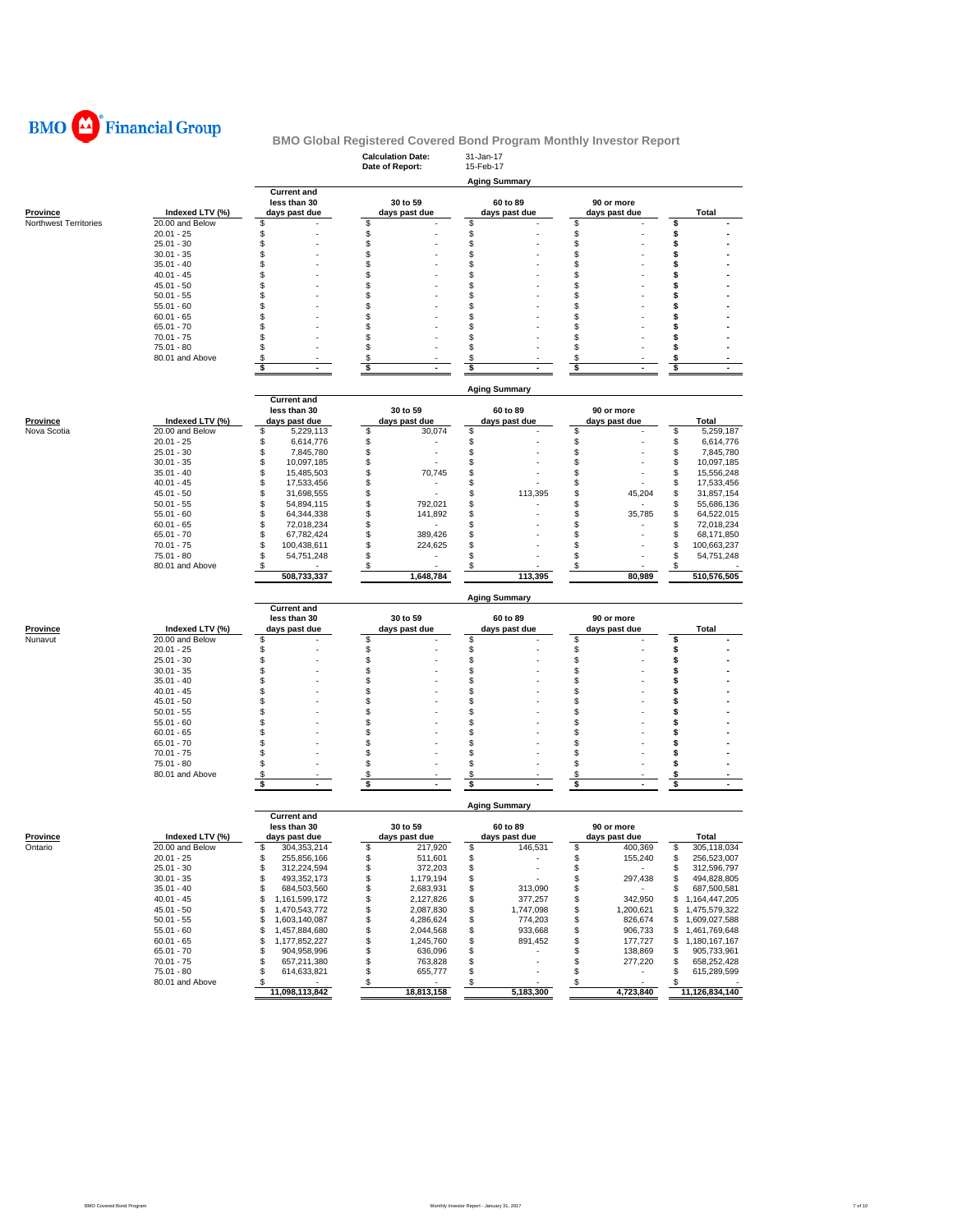

|                       |                               |                                          | <b>Calculation Date:</b><br>Date of Report: | 31-Jan-17<br>15-Feb-17                                     |                                                 |                                          |  |  |  |  |  |  |
|-----------------------|-------------------------------|------------------------------------------|---------------------------------------------|------------------------------------------------------------|-------------------------------------------------|------------------------------------------|--|--|--|--|--|--|
|                       |                               |                                          |                                             | <b>Aging Summary</b>                                       |                                                 |                                          |  |  |  |  |  |  |
|                       |                               | <b>Current and</b>                       |                                             |                                                            |                                                 |                                          |  |  |  |  |  |  |
| Province              | Indexed LTV (%)               | less than 30<br>days past due            | 30 to 59<br>days past due                   | 60 to 89<br>days past due                                  | 90 or more<br>days past due                     | Total                                    |  |  |  |  |  |  |
| Northwest Territories | 20.00 and Below               | \$                                       | \$                                          | \$                                                         | \$                                              | \$                                       |  |  |  |  |  |  |
|                       | $20.01 - 25$                  | \$                                       | \$                                          | \$                                                         | \$                                              | \$                                       |  |  |  |  |  |  |
|                       | $25.01 - 30$                  | \$                                       | \$                                          | \$                                                         | \$                                              | \$                                       |  |  |  |  |  |  |
|                       | $30.01 - 35$<br>$35.01 - 40$  | \$<br>\$                                 | \$<br>\$                                    | \$<br>\$                                                   | \$<br>\$                                        | \$<br>\$                                 |  |  |  |  |  |  |
|                       | $40.01 - 45$                  | \$                                       | \$                                          | \$                                                         | \$                                              | \$                                       |  |  |  |  |  |  |
|                       | $45.01 - 50$                  | \$                                       | \$                                          | \$                                                         | \$                                              | \$                                       |  |  |  |  |  |  |
|                       | $50.01 - 55$                  | \$                                       | \$                                          | \$                                                         | \$                                              | \$                                       |  |  |  |  |  |  |
|                       | $55.01 - 60$                  | \$                                       | \$                                          | \$                                                         | \$                                              | s                                        |  |  |  |  |  |  |
|                       | $60.01 - 65$                  | \$                                       | \$                                          | \$                                                         | \$                                              | \$                                       |  |  |  |  |  |  |
|                       | $65.01 - 70$<br>$70.01 - 75$  | \$<br>\$                                 | \$<br>\$                                    | \$<br>\$                                                   | \$<br>\$                                        | S<br>\$                                  |  |  |  |  |  |  |
|                       | $75.01 - 80$                  | \$                                       | \$                                          | \$                                                         | \$                                              | \$                                       |  |  |  |  |  |  |
|                       | 80.01 and Above               | S                                        | \$                                          | \$                                                         | \$                                              | \$                                       |  |  |  |  |  |  |
|                       |                               | \$                                       | \$                                          | \$                                                         | \$                                              | \$                                       |  |  |  |  |  |  |
|                       |                               |                                          |                                             |                                                            |                                                 |                                          |  |  |  |  |  |  |
|                       |                               | <b>Current and</b>                       |                                             | <b>Aging Summary</b>                                       |                                                 |                                          |  |  |  |  |  |  |
|                       |                               | less than 30                             | 30 to 59                                    | 60 to 89                                                   | 90 or more                                      |                                          |  |  |  |  |  |  |
| Province              | Indexed LTV (%)               | days past due                            | days past due                               | days past due                                              | days past due                                   | Total                                    |  |  |  |  |  |  |
| Nova Scotia           | 20.00 and Below               | 5,229,113<br>S                           | \$<br>30,074                                | \$                                                         | \$                                              | 5,259,187<br>\$                          |  |  |  |  |  |  |
|                       | $20.01 - 25$                  | \$<br>6,614,776                          | \$                                          | \$                                                         | \$                                              | \$<br>6,614,776                          |  |  |  |  |  |  |
|                       | $25.01 - 30$                  | \$<br>7,845,780                          | \$                                          | \$                                                         | \$                                              | \$<br>7,845,780                          |  |  |  |  |  |  |
|                       | $30.01 - 35$<br>$35.01 - 40$  | \$<br>10,097,185<br>\$<br>15,485,503     | \$<br>\$<br>70,745                          | \$<br>\$                                                   | \$<br>\$                                        | \$<br>10,097,185<br>\$<br>15,556,248     |  |  |  |  |  |  |
|                       | $40.01 - 45$                  | \$<br>17,533,456                         | \$                                          | \$                                                         | \$                                              | \$<br>17,533,456                         |  |  |  |  |  |  |
|                       | $45.01 - 50$                  | \$<br>31,698,555                         | \$                                          | \$<br>113,395                                              | \$<br>45,204                                    | 31,857,154<br>\$                         |  |  |  |  |  |  |
|                       | $50.01 - 55$                  | \$<br>54,894,115                         | \$<br>792,021                               | \$                                                         | \$                                              | \$<br>55,686,136                         |  |  |  |  |  |  |
|                       | $55.01 - 60$                  | \$<br>64,344,338                         | \$<br>141,892                               | \$                                                         | \$<br>35,785                                    | \$<br>64,522,015                         |  |  |  |  |  |  |
|                       | $60.01 - 65$                  | \$<br>72,018,234                         | \$                                          | \$                                                         | \$                                              | \$<br>72,018,234                         |  |  |  |  |  |  |
|                       | $65.01 - 70$<br>$70.01 - 75$  | \$<br>67,782,424<br>\$<br>100,438,611    | \$<br>389,426<br>\$<br>224,625              | \$<br>\$                                                   | \$<br>\$                                        | \$<br>68,171,850<br>\$<br>100,663,237    |  |  |  |  |  |  |
|                       | $75.01 - 80$                  | S<br>54,751,248                          | \$                                          | \$                                                         | \$                                              | \$<br>54,751,248                         |  |  |  |  |  |  |
|                       | 80.01 and Above               | \$                                       | \$                                          | \$                                                         | \$                                              | \$                                       |  |  |  |  |  |  |
|                       |                               | 508,733,337                              | 1,648,784                                   | 113,395                                                    | 80,989                                          | 510,576,505                              |  |  |  |  |  |  |
|                       |                               | <b>Aging Summary</b>                     |                                             |                                                            |                                                 |                                          |  |  |  |  |  |  |
|                       |                               | <b>Current and</b>                       |                                             |                                                            |                                                 |                                          |  |  |  |  |  |  |
|                       |                               |                                          |                                             |                                                            |                                                 |                                          |  |  |  |  |  |  |
|                       |                               | less than 30                             | 30 to 59                                    | 60 to 89                                                   | 90 or more                                      |                                          |  |  |  |  |  |  |
| <b>Province</b>       | Indexed LTV (%)               | days past due                            | days past due                               | days past due                                              | days past due                                   | Total                                    |  |  |  |  |  |  |
| Nunavut               | 20.00 and Below               | \$                                       | \$                                          | \$                                                         | \$                                              | s                                        |  |  |  |  |  |  |
|                       | $20.01 - 25$<br>$25.01 - 30$  | \$<br>\$                                 | \$<br>\$                                    | \$<br>\$                                                   | \$<br>\$                                        | \$<br>\$                                 |  |  |  |  |  |  |
|                       | $30.01 - 35$                  | \$                                       | \$                                          | \$                                                         | \$                                              | \$                                       |  |  |  |  |  |  |
|                       | $35.01 - 40$                  | \$                                       | \$                                          | \$                                                         | \$                                              | \$                                       |  |  |  |  |  |  |
|                       | $40.01 - 45$                  | \$                                       | \$                                          | \$                                                         | \$                                              | s                                        |  |  |  |  |  |  |
|                       | $45.01 - 50$                  | \$                                       | \$                                          | \$                                                         | \$                                              | \$                                       |  |  |  |  |  |  |
|                       | $50.01 - 55$                  | \$                                       | \$                                          | \$                                                         | \$                                              | \$<br>\$                                 |  |  |  |  |  |  |
|                       | $55.01 - 60$<br>$60.01 - 65$  | \$<br>\$                                 | \$<br>\$                                    | \$<br>\$                                                   | \$<br>\$                                        | \$                                       |  |  |  |  |  |  |
|                       | $65.01 - 70$                  | \$                                       | \$                                          | \$                                                         | \$                                              | \$                                       |  |  |  |  |  |  |
|                       | $70.01 - 75$                  | \$                                       | \$                                          | \$                                                         | \$                                              | \$                                       |  |  |  |  |  |  |
|                       | 75.01 - 80                    | \$                                       | \$                                          | \$                                                         | \$                                              | \$                                       |  |  |  |  |  |  |
|                       | 80.01 and Above               | \$<br>\$                                 | \$<br>\$                                    | \$<br>\$                                                   | \$<br>\$                                        | \$<br>\$                                 |  |  |  |  |  |  |
|                       |                               |                                          |                                             |                                                            |                                                 |                                          |  |  |  |  |  |  |
|                       |                               | <b>Current and</b>                       |                                             | <b>Aging Summary</b>                                       |                                                 |                                          |  |  |  |  |  |  |
|                       |                               | less than 30                             | 30 to 59                                    | 60 to 89                                                   | 90 or more                                      |                                          |  |  |  |  |  |  |
| Province              | Indexed LTV (%)               | days past due                            | days past due<br>¢                          | days past due<br>E21                                       | days past due                                   | Total                                    |  |  |  |  |  |  |
| Ontario               | 20.00 and Below               | 304,353,214                              | 217,920                                     | 146,53                                                     | 400,369                                         | 305,118,034                              |  |  |  |  |  |  |
|                       | $20.01 - 25$<br>$25.01 - 30$  | \$<br>255,856,166<br>\$                  | \$<br>511,601<br>\$                         | \$<br>$\overline{\phantom{a}}$<br>$\overline{\phantom{a}}$ | \$<br>155,240<br>\$<br>$\overline{\phantom{a}}$ | \$<br>256,523,007<br>\$                  |  |  |  |  |  |  |
|                       | $30.01 - 35$                  | 312,224,594<br>\$<br>493,352,173         | 372,203<br>\$<br>1,179,194                  | \$<br>\$<br>÷,                                             | \$<br>297,438                                   | 312,596,797<br>494,828,805<br>\$         |  |  |  |  |  |  |
|                       | $35.01 - 40$                  | \$<br>684,503,560                        | \$<br>2,683,931                             | \$<br>313,090                                              | \$<br>$\sim$                                    | 687,500,581<br>\$                        |  |  |  |  |  |  |
|                       | $40.01 - 45$                  | 1,161,599,172<br>\$                      | \$<br>2,127,826                             | \$<br>377,257                                              | 342,950<br>\$                                   | 1,164,447,205<br>\$                      |  |  |  |  |  |  |
|                       | $45.01 - 50$                  | \$<br>1,470,543,772                      | \$<br>2,087,830                             | \$<br>1,747,098                                            | \$<br>1,200,621                                 | \$<br>1,475,579,322                      |  |  |  |  |  |  |
|                       | $50.01 - 55$                  | \$<br>1,603,140,087                      | \$<br>4,286,624                             | \$<br>774,203                                              | \$<br>826,674                                   | 1,609,027,588<br>\$                      |  |  |  |  |  |  |
|                       | $55.01 - 60$                  | \$<br>1,457,884,680                      | \$<br>2,044,568                             | \$<br>933,668                                              | \$<br>906,733                                   | \$1,461,769,648                          |  |  |  |  |  |  |
|                       | $60.01 - 65$<br>$65.01 - 70$  | \$<br>1,177,852,227<br>\$<br>904,958,996 | \$<br>1,245,760<br>\$<br>636,096            | \$<br>891,452<br>\$                                        | \$<br>177,727<br>\$<br>138,869                  | 1,180,167,167<br>\$<br>905,733,961<br>\$ |  |  |  |  |  |  |
|                       | $70.01 - 75$                  | \$<br>657,211,380                        | \$<br>763,828                               | \$                                                         | \$<br>277,220                                   | \$<br>658,252,428                        |  |  |  |  |  |  |
|                       | 75.01 - 80<br>80.01 and Above | \$<br>614,633,821<br>\$                  | \$<br>655,777<br>\$                         | \$<br>\$                                                   | \$<br>٠<br>$\boldsymbol{\mathsf{s}}$            | 615,289,599<br>\$<br>\$                  |  |  |  |  |  |  |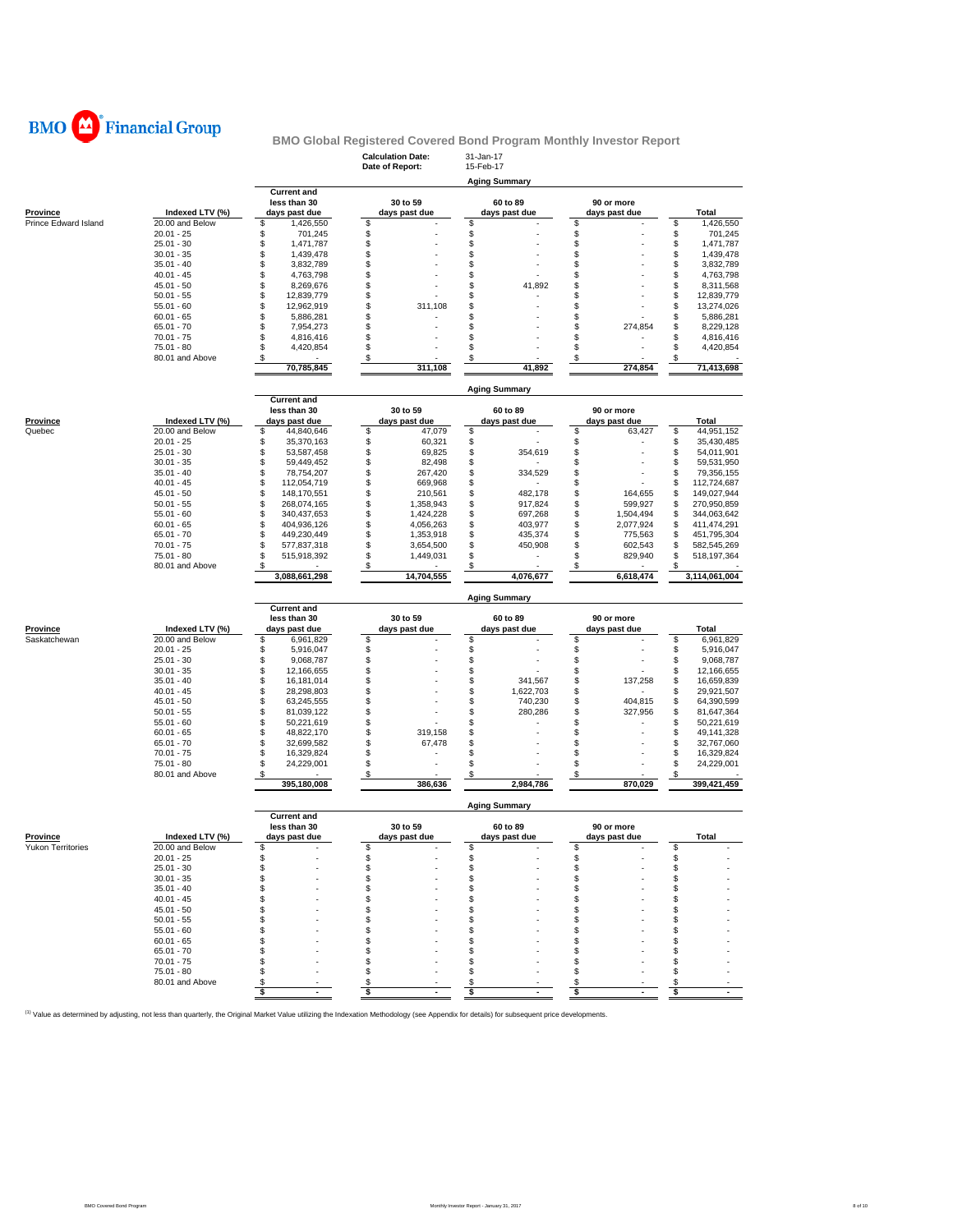

|                      |                                 |                                        | <b>Calculation Date:</b><br>Date of Report: | 31-Jan-17<br>15-Feb-17           |                             |                                        |  |  |  |  |  |
|----------------------|---------------------------------|----------------------------------------|---------------------------------------------|----------------------------------|-----------------------------|----------------------------------------|--|--|--|--|--|
|                      |                                 |                                        |                                             | <b>Aging Summary</b>             |                             |                                        |  |  |  |  |  |
|                      |                                 | <b>Current and</b>                     | 30 to 59                                    |                                  |                             |                                        |  |  |  |  |  |
| Province             | Indexed LTV (%)                 | less than 30<br>days past due          | days past due                               | 60 to 89<br>days past due        | 90 or more<br>days past due | Total                                  |  |  |  |  |  |
| Prince Edward Island | 20.00 and Below                 | \$<br>1,426,550                        | \$                                          | \$                               | \$                          | 1,426,550<br>\$                        |  |  |  |  |  |
|                      | $20.01 - 25$                    | \$<br>701,245                          | \$                                          | \$                               | \$                          | \$<br>701,245                          |  |  |  |  |  |
|                      | $25.01 - 30$                    | \$<br>1,471,787                        | \$                                          | \$                               | \$                          | \$<br>1,471,787                        |  |  |  |  |  |
|                      | $30.01 - 35$                    | \$<br>1,439,478<br>\$                  | \$<br>\$                                    | \$<br>\$                         | \$<br>\$                    | \$<br>1,439,478<br>\$                  |  |  |  |  |  |
|                      | $35.01 - 40$<br>$40.01 - 45$    | 3,832,789<br>\$<br>4,763,798           | \$                                          | \$                               | \$                          | 3,832,789<br>\$<br>4,763,798           |  |  |  |  |  |
|                      | $45.01 - 50$                    | \$<br>8,269,676                        | \$                                          | \$<br>41,892                     | \$                          | \$<br>8,311,568                        |  |  |  |  |  |
|                      | $50.01 - 55$                    | \$<br>12,839,779                       | \$                                          | \$                               | \$                          | \$<br>12,839,779                       |  |  |  |  |  |
|                      | $55.01 - 60$                    | \$<br>12,962,919                       | \$<br>311,108                               | \$                               | \$                          | 13,274,026<br>\$                       |  |  |  |  |  |
|                      | $60.01 - 65$                    | \$<br>5,886,281                        | \$                                          | \$                               | \$                          | \$<br>5,886,281                        |  |  |  |  |  |
|                      | $65.01 - 70$                    | \$<br>7,954,273                        | \$                                          | \$                               | \$<br>274,854               | \$<br>8,229,128                        |  |  |  |  |  |
|                      | $70.01 - 75$<br>75.01 - 80      | \$<br>4,816,416<br>\$<br>4,420,854     | \$<br>\$                                    | \$<br>\$                         | \$<br>\$                    | \$<br>4,816,416<br>\$<br>4,420,854     |  |  |  |  |  |
|                      | 80.01 and Above                 | \$                                     | \$                                          | S                                | S                           |                                        |  |  |  |  |  |
|                      |                                 | 70,785,845                             | 311,108                                     | 41,892                           | 274,854                     | 71,413,698                             |  |  |  |  |  |
|                      |                                 |                                        |                                             |                                  |                             |                                        |  |  |  |  |  |
|                      |                                 |                                        |                                             | <b>Aging Summary</b>             |                             |                                        |  |  |  |  |  |
|                      |                                 | <b>Current and</b><br>less than 30     | 30 to 59                                    | 60 to 89                         | 90 or more                  |                                        |  |  |  |  |  |
| <b>Province</b>      | Indexed LTV (%)                 | days past due                          | days past due                               | days past due                    | days past due               | Total                                  |  |  |  |  |  |
| Quebec               | 20.00 and Below                 | \$<br>44,840,646                       | \$<br>47,079                                | \$                               | \$<br>63,427                | \$<br>44,951,152                       |  |  |  |  |  |
|                      | $20.01 - 25$                    | \$<br>35,370,163                       | \$<br>60,321                                | \$                               | \$                          | 35,430,485<br>\$                       |  |  |  |  |  |
|                      | $25.01 - 30$                    | \$<br>53,587,458                       | \$<br>69,825                                | \$<br>354,619                    | \$                          | \$<br>54,011,901                       |  |  |  |  |  |
|                      | $30.01 - 35$                    | \$<br>59,449,452                       | \$<br>82,498                                | \$                               | \$                          | \$<br>59,531,950                       |  |  |  |  |  |
|                      | $35.01 - 40$                    | \$<br>78,754,207                       | \$<br>267,420                               | \$<br>334,529                    | \$                          | \$<br>79,356,155                       |  |  |  |  |  |
|                      | $40.01 - 45$<br>$45.01 - 50$    | \$<br>112,054,719<br>\$<br>148,170,551 | \$<br>669,968<br>\$<br>210,561              | \$<br>\$<br>482,178              | \$<br>\$<br>164,655         | \$<br>112,724,687<br>149,027,944<br>\$ |  |  |  |  |  |
|                      | $50.01 - 55$                    | \$<br>268,074,165                      | \$<br>1,358,943                             | \$<br>917,824                    | \$<br>599,927               | \$<br>270,950,859                      |  |  |  |  |  |
|                      | $55.01 - 60$                    | \$<br>340,437,653                      | \$<br>1,424,228                             | \$<br>697,268                    | \$<br>1,504,494             | 344,063,642<br>\$                      |  |  |  |  |  |
|                      | $60.01 - 65$                    | \$<br>404,936,126                      | \$<br>4,056,263                             | \$<br>403,977                    | \$<br>2,077,924             | \$<br>411,474,291                      |  |  |  |  |  |
|                      | $65.01 - 70$                    | \$<br>449,230,449                      | \$<br>1,353,918                             | \$<br>435,374                    | \$<br>775,563               | \$<br>451,795,304                      |  |  |  |  |  |
|                      | $70.01 - 75$                    | \$<br>577,837,318                      | \$<br>3,654,500                             | \$<br>450,908                    | \$<br>602,543               | \$<br>582,545,269                      |  |  |  |  |  |
|                      | $75.01 - 80$<br>80.01 and Above | \$<br>515,918,392<br>\$                | \$<br>1,449,031<br>\$                       | \$<br>\$                         | \$<br>829,940<br>\$         | \$<br>518,197,364<br>\$                |  |  |  |  |  |
|                      |                                 | 3,088,661,298                          | 14,704,555                                  | 4,076,677                        | 6,618,474                   | 3,114,061,004                          |  |  |  |  |  |
|                      |                                 | <b>Aging Summary</b>                   |                                             |                                  |                             |                                        |  |  |  |  |  |
|                      |                                 | <b>Current and</b>                     |                                             |                                  |                             |                                        |  |  |  |  |  |
|                      |                                 | less than 30                           | 30 to 59                                    | 60 to 89                         | 90 or more                  |                                        |  |  |  |  |  |
| Province             | Indexed LTV (%)                 | days past due                          | days past due                               | days past due                    | days past due               | Total                                  |  |  |  |  |  |
| Saskatchewan         | 20.00 and Below                 | \$<br>6,961,829                        | \$                                          | \$                               | \$                          | \$<br>6,961,829                        |  |  |  |  |  |
|                      | $20.01 - 25$                    | \$<br>5,916,047                        | \$                                          | \$                               | \$                          | \$<br>5,916,047                        |  |  |  |  |  |
|                      | $25.01 - 30$<br>$30.01 - 35$    | \$<br>9,068,787<br>\$<br>12,166,655    | \$<br>\$                                    | \$<br>\$                         | \$<br>\$                    | \$<br>9,068,787<br>\$<br>12,166,655    |  |  |  |  |  |
|                      | $35.01 - 40$                    | \$<br>16,181,014                       | \$                                          |                                  |                             | \$                                     |  |  |  |  |  |
|                      | $40.01 - 45$                    |                                        |                                             |                                  |                             |                                        |  |  |  |  |  |
|                      |                                 |                                        |                                             | \$<br>341,567                    | \$<br>137,258               | 16,659,839<br>\$                       |  |  |  |  |  |
|                      | $45.01 - 50$                    | \$<br>28,298,803<br>\$<br>63,245,555   | \$<br>\$                                    | \$<br>1,622,703<br>\$<br>740,230 | \$<br>\$<br>404,815         | 29,921,507<br>\$<br>64,390,599         |  |  |  |  |  |
|                      | $50.01 - 55$                    | \$<br>81,039,122                       | \$                                          | \$<br>280,286                    | \$<br>327,956               | \$<br>81,647,364                       |  |  |  |  |  |
|                      | $55.01 - 60$                    | \$<br>50,221,619                       | \$                                          | \$                               | \$                          | \$<br>50,221,619                       |  |  |  |  |  |
|                      | $60.01 - 65$                    | \$<br>48,822,170                       | \$<br>319,158                               | \$                               | \$                          | \$<br>49,141,328                       |  |  |  |  |  |
|                      | $65.01 - 70$                    | \$<br>32,699,582                       | \$<br>67,478                                | \$                               | \$                          | \$<br>32,767,060                       |  |  |  |  |  |
|                      | $70.01 - 75$                    | \$<br>16,329,824                       | \$                                          | \$                               | \$                          | \$<br>16,329,824                       |  |  |  |  |  |
|                      | 75.01 - 80<br>80.01 and Above   | \$<br>24,229,001<br>\$                 | \$<br>\$                                    | \$<br>\$                         | \$<br>S                     | \$<br>24,229,001<br>\$                 |  |  |  |  |  |
|                      |                                 | 395,180,008                            | 386,636                                     | 2,984,786                        | 870,029                     | 399,421,459                            |  |  |  |  |  |
|                      |                                 |                                        |                                             | <b>Aging Summary</b>             |                             |                                        |  |  |  |  |  |
|                      |                                 | <b>Current and</b>                     |                                             |                                  |                             |                                        |  |  |  |  |  |
|                      |                                 | less than 30                           | 30 to 59                                    | 60 to 89                         | 90 or more                  |                                        |  |  |  |  |  |
| Province             | Indexed LTV (%)                 | days past due                          | days past due                               | days past due                    | days past due               | Total                                  |  |  |  |  |  |
| Yukon Territories    | 20.00 and Below<br>$20.01 - 25$ | \$                                     | \$                                          | \$                               | \$                          | \$                                     |  |  |  |  |  |
|                      | $25.01 - 30$                    | \$                                     | \$                                          | \$                               | \$                          | \$                                     |  |  |  |  |  |
|                      | $30.01 - 35$                    | \$                                     | \$                                          | S                                | \$                          |                                        |  |  |  |  |  |
|                      | $35.01 - 40$                    | \$                                     | \$                                          | s                                | \$                          |                                        |  |  |  |  |  |
|                      | $40.01 - 45$                    | \$                                     | \$                                          | \$                               | \$                          |                                        |  |  |  |  |  |
|                      | $45.01 - 50$                    | \$                                     | \$                                          | S                                | \$                          | я<br>я                                 |  |  |  |  |  |
|                      | $50.01 - 55$                    | \$                                     | \$                                          | s<br>S                           | \$<br>\$                    |                                        |  |  |  |  |  |
|                      | $55.01 - 60$<br>$60.01 - 65$    | \$<br>\$                               | \$<br>\$                                    | s                                | \$                          |                                        |  |  |  |  |  |
|                      | $65.01 - 70$                    | \$                                     | \$                                          | \$                               | \$                          |                                        |  |  |  |  |  |
|                      | $70.01 - 75$                    | \$                                     | S                                           | S                                | \$.                         |                                        |  |  |  |  |  |
|                      | 75.01 - 80                      | \$                                     | S                                           | \$                               | \$                          | S                                      |  |  |  |  |  |
|                      | 80.01 and Above                 | s                                      | \$                                          | \$                               | S<br>\$                     | \$                                     |  |  |  |  |  |

<sup>(1)</sup> Value as determined by adjusting, not less than quarterly, the Original Market Value utilizing the Indexation Methodology (see Appendix for details) for subsequent price developments.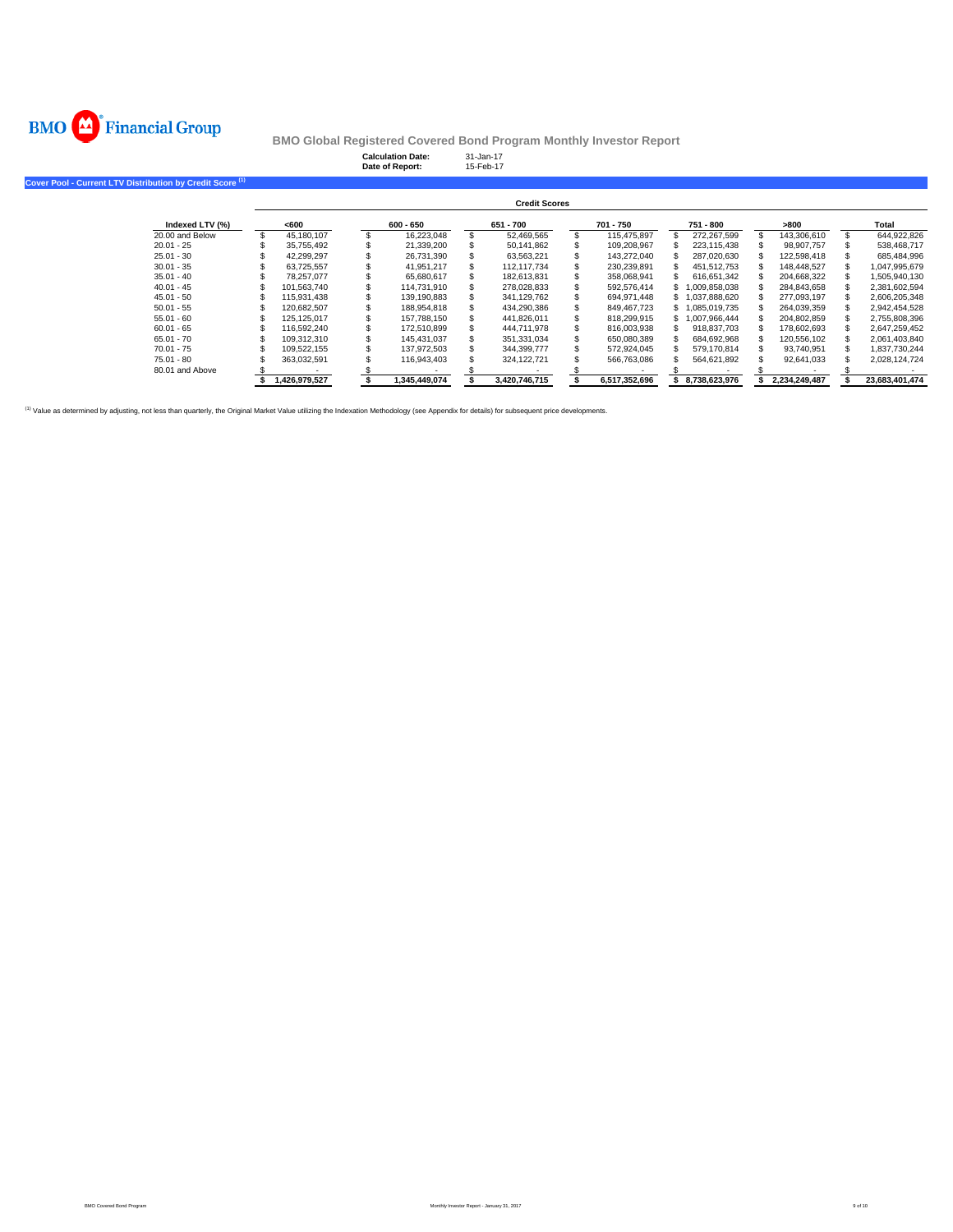

|                                                                      |                      |               |  | <b>Calculation Date:</b><br>Date of Report: |  | 31-Jan-17<br>15-Feb-17 |               |                 |               |                |
|----------------------------------------------------------------------|----------------------|---------------|--|---------------------------------------------|--|------------------------|---------------|-----------------|---------------|----------------|
| Cover Pool - Current LTV Distribution by Credit Score <sup>(1)</sup> |                      |               |  |                                             |  |                        |               |                 |               |                |
|                                                                      | <b>Credit Scores</b> |               |  |                                             |  |                        |               |                 |               |                |
| Indexed LTV (%)                                                      |                      | <600          |  | $600 - 650$                                 |  | 651 - 700              | 701 - 750     | 751 - 800       | >800          | Total          |
| 20.00 and Below                                                      |                      | 45,180,107    |  | 16,223,048                                  |  | 52,469,565             | 115.475.897   | 272,267,599     | 143,306,610   | 644,922,826    |
| $20.01 - 25$                                                         |                      | 35,755,492    |  | 21,339,200                                  |  | 50,141,862             | 109,208,967   | 223,115,438     | 98,907,757    | 538,468,717    |
| $25.01 - 30$                                                         |                      | 42.299.297    |  | 26,731,390                                  |  | 63,563,221             | 143,272,040   | 287,020,630     | 122,598,418   | 685,484,996    |
| $30.01 - 35$                                                         |                      | 63,725,557    |  | 41,951,217                                  |  | 112,117,734            | 230,239,891   | 451,512,753     | 148,448,527   | 1,047,995,679  |
| $35.01 - 40$                                                         |                      | 78.257.077    |  | 65,680,617                                  |  | 182,613,831            | 358,068,941   | 616,651,342     | 204,668,322   | 1,505,940,130  |
| $40.01 - 45$                                                         |                      | 101.563.740   |  | 114,731,910                                 |  | 278,028,833            | 592,576,414   | \$1,009,858,038 | 284,843,658   | 2,381,602,594  |
| $45.01 - 50$                                                         |                      | 115,931,438   |  | 139,190,883                                 |  | 341,129,762            | 694, 971, 448 | \$1,037,888,620 | 277,093,197   | 2,606,205,348  |
| $50.01 - 55$                                                         |                      | 120,682,507   |  | 188,954,818                                 |  | 434,290,386            | 849,467,723   | \$1,085,019,735 | 264,039,359   | 2,942,454,528  |
| $55.01 - 60$                                                         |                      | 125, 125, 017 |  | 157,788,150                                 |  | 441,826,011            | 818,299,915   | \$1,007,966,444 | 204,802,859   | 2,755,808,396  |
| $60.01 - 65$                                                         |                      | 116,592,240   |  | 172,510,899                                 |  | 444,711,978            | 816,003,938   | 918,837,703     | 178,602,693   | 2,647,259,452  |
| $65.01 - 70$                                                         |                      | 109,312,310   |  | 145,431,037                                 |  | 351,331,034            | 650,080,389   | 684,692,968     | 120,556,102   | 2,061,403,840  |
| $70.01 - 75$                                                         |                      | 109,522,155   |  | 137,972,503                                 |  | 344,399,777            | 572,924,045   | 579,170,814     | 93,740,951    | 1,837,730,244  |
| $75.01 - 80$                                                         |                      | 363,032,591   |  | 116,943,403                                 |  | 324, 122, 721          | 566,763,086   | 564,621,892     | 92,641,033    | 2,028,124,724  |
| 80.01 and Above                                                      |                      |               |  |                                             |  |                        |               |                 |               |                |
|                                                                      |                      | 1,426,979,527 |  | 1,345,449,074                               |  | 3,420,746,715          | 6,517,352,696 | 8,738,623,976   | 2,234,249,487 | 23,683,401,474 |

(1) Value as determined by adjusting, not less than quarterly, the Original Market Value utilizing the Indexation Methodology (see Appendix for details) for subsequent price developments.